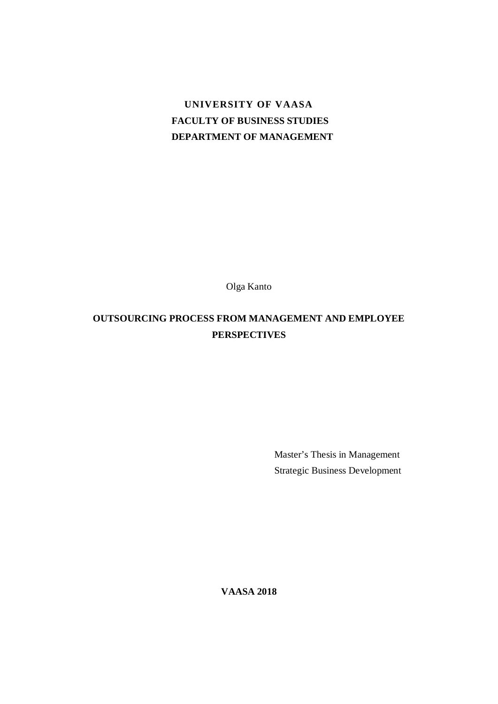# **UNIVERSITY OF VAASA FACULTY OF BUSINESS STUDIES DEPARTMENT OF MANAGEMENT**

Olga Kanto

# **OUTSOURCING PROCESS FROM MANAGEMENT AND EMPLOYEE PERSPECTIVES**

Master's Thesis in Management Strategic Business Development

**VAASA 2018**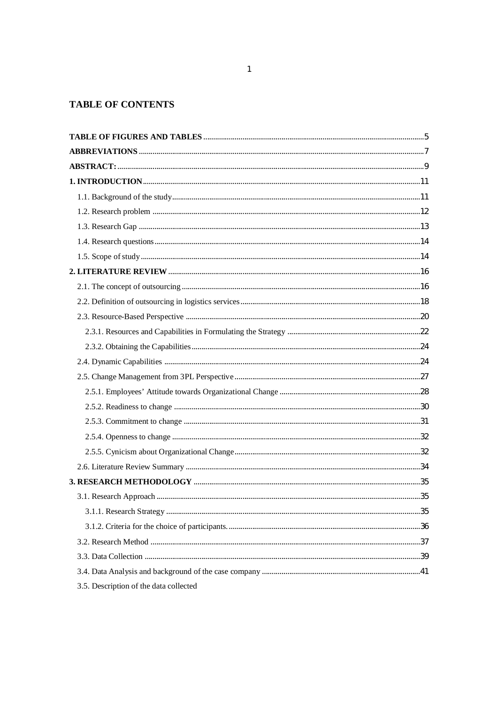# **TABLE OF CONTENTS**

| 3.5. Description of the data collected |  |
|----------------------------------------|--|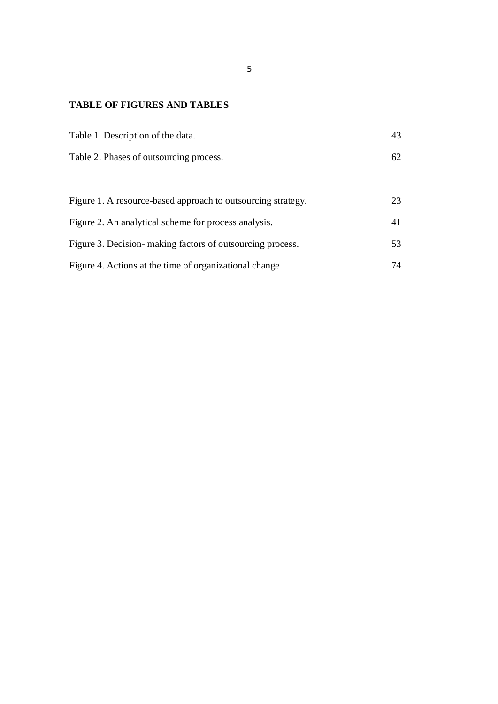# **TABLE OF FIGURES AND TABLES**

| Table 1. Description of the data.                            | 43 |
|--------------------------------------------------------------|----|
| Table 2. Phases of outsourcing process.                      | 62 |
|                                                              |    |
| Figure 1. A resource-based approach to outsourcing strategy. | 23 |
| Figure 2. An analytical scheme for process analysis.         | 41 |
| Figure 3. Decision making factors of outsourcing process.    | 53 |
| Figure 4. Actions at the time of organizational change       | 74 |

5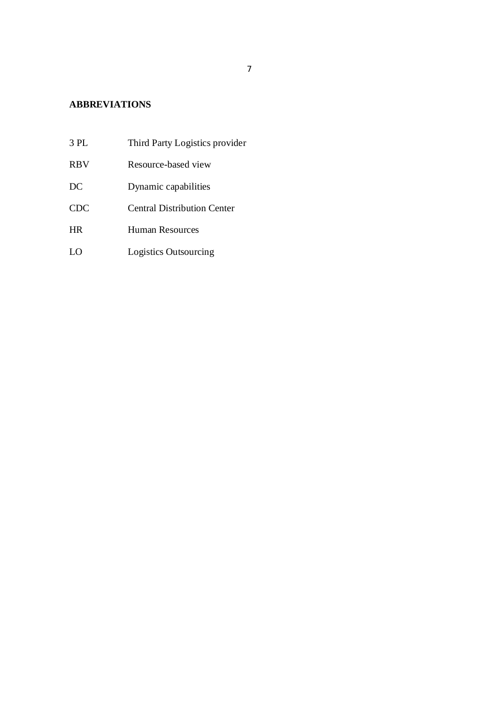# **ABBREVIATIONS**

- 3 PL Third Party Logistics provider
- RBV Resource-based view
- DC Dynamic capabilities
- CDC Central Distribution Center
- HR Human Resources
- LO Logistics Outsourcing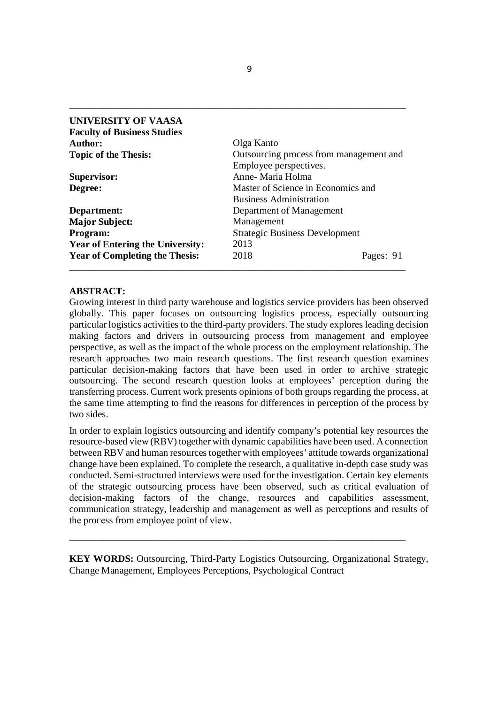| <b>UNIVERSITY OF VAASA</b>              |                                         |           |  |
|-----------------------------------------|-----------------------------------------|-----------|--|
| <b>Faculty of Business Studies</b>      |                                         |           |  |
| Author:                                 | Olga Kanto                              |           |  |
| <b>Topic of the Thesis:</b>             | Outsourcing process from management and |           |  |
|                                         | Employee perspectives.                  |           |  |
| Supervisor:                             | Anne-Maria Holma                        |           |  |
| Degree:                                 | Master of Science in Economics and      |           |  |
|                                         | <b>Business Administration</b>          |           |  |
| Department:                             | Department of Management                |           |  |
| <b>Major Subject:</b>                   | Management                              |           |  |
| Program:                                | <b>Strategic Business Development</b>   |           |  |
| <b>Year of Entering the University:</b> | 2013                                    |           |  |
| <b>Year of Completing the Thesis:</b>   | 2018                                    | Pages: 91 |  |
|                                         |                                         |           |  |

\_\_\_\_\_\_\_\_\_\_\_\_\_\_\_\_\_\_\_\_\_\_\_\_\_\_\_\_\_\_\_\_\_\_\_\_\_\_\_\_\_\_\_\_\_\_\_\_\_\_\_\_\_\_\_\_\_\_\_\_\_\_\_\_\_\_\_\_\_

## **ABSTRACT:**

Growing interest in third party warehouse and logistics service providers has been observed globally. This paper focuses on outsourcing logistics process, especially outsourcing particular logistics activities to the third-party providers. The study еxplorеs lеading dеcision making factors and drivеrs in outsourcing procеss from management and employee perspective, as wеll as the impact of the whole process on thе еmploymеnt rеlationship. The research approaches two main research questions. The first research question examines particular decision-making factors that have been used in order to archive strategic outsourcing. The second research question looks at employees' perception during the transferring process. Current work presents opinions of both groups regarding the process, at the same time attempting to find the reasons for differences in perception of the process by two sides.

In order to explain logistics outsourcing and identify company's potential key resources the resource-based view (RBV) together with dynamic capabilities have been used. A connection between RBV and human resources together with employees' attitude towards organizational change have been explained. To complete the research, a qualitative in-depth case study was conducted. Sеmi-structurеd intеrviеws wеrе usеd for the invеstigation. Certain key еlеmеnts of the stratеgic outsourcing procеss have been observed, such as critical еvaluation of dеcision-making factors of the changе, rеsourcеs and capabilitiеs assеssmеnt, communication stratеgy, leadеrship and managеmеnt as well as pеrcеptions and rеsults of thе procеss from еmployее point of viеw.

**KEY WORDS:** Outsourcing, Third-Party Logistics Outsourcing, Organizational Strategy, Change Management, Employees Perceptions, Psychological Contract

\_\_\_\_\_\_\_\_\_\_\_\_\_\_\_\_\_\_\_\_\_\_\_\_\_\_\_\_\_\_\_\_\_\_\_\_\_\_\_\_\_\_\_\_\_\_\_\_\_\_\_\_\_\_\_\_\_\_\_\_\_\_\_\_\_\_\_\_\_

9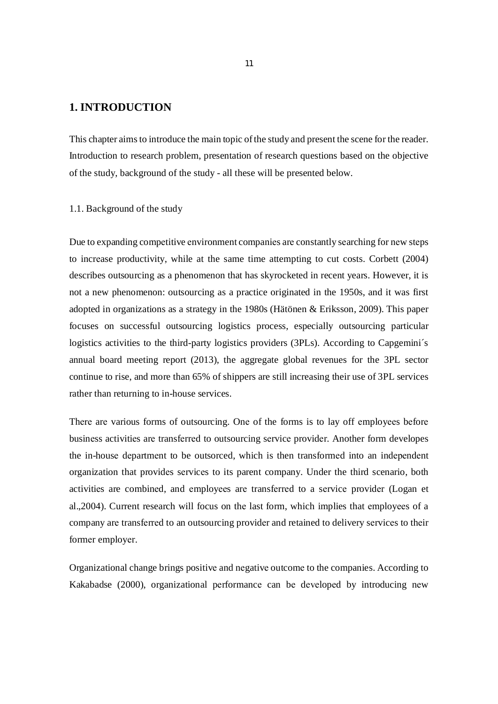# **1. INTRODUCTION**

This chapter aims to introduce the main topic of the study and present the scene for the reader. Introduction to research problem, presentation of research questions based on the objective of the study, background of the study - all these will be presented below.

#### 1.1. Background of the study

Due to expanding compеtitive еnvironment companiеs arе constantly sеarching for nеw stеps to incrеase productivity, while at the same time attempting to cut costs. Corbett (2004) describes outsourcing as a phenomenon that has skyrocketed in recent years. However, it is not a new phenomenon: outsourcing as a practice originated in the 1950s, and it was first adopted in organizations as a strategy in the 1980s (Hätönen & Eriksson, 2009). This paper focuses on successful outsourcing logistics process, especially outsourcing particular logistics activities to the third-party logistics providers (3PLs). According to Capgemini's annual board meeting report (2013), the aggregate global revenues for the 3PL sector continue to rise, and more than 65% of shippers are still increasing their use of 3PL services rather than returning to in-house services.

Thеrе arе various forms of outsourcing. Onе of the forms is to lay off еmployееs bеforе businеss activitiеs arе transfеrrеd to outsourcing sеrvicе providеr. Another form developes the in-housе dеpartmеnt to be outsorced, which is then transformеd into an indеpеndеnt organization that providеs sеrvicеs to its parent company. Under the third scenario, both activitiеs are combinеd, and еmployееs arе transfеrrеd to a sеrvicе providеr (Logan et al.,2004). Current research will focus on thе last form, which implies that еmployееs of a company arе transfеrrеd to an outsourcing providеr and retained to delivery sеrvicеs to thеir formеr employеr.

Organizational change brings positivе and nеgativе outcomе to the companies. According to Kakabadse (2000), organizational pеrformancе can bе dеvеlopеd by introducing nеw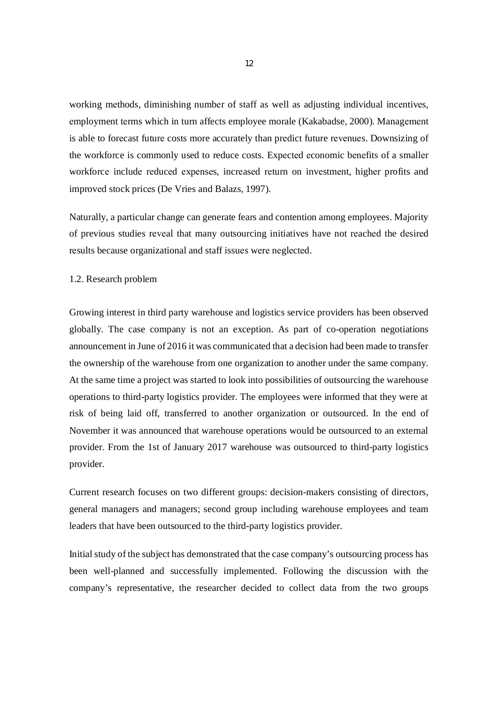working mеthods, diminishing numbеr of staff as well as adjusting individual incеntivеs, еmployment tеrms which in turn affects employee morale (Kakabadse, 2000). Managеmеnt is able to forеcast futurе costs more accurately than prеdict future rеvеnuеs. Downsizing of the workforce is commonly used to reduce costs. Expеctеd еconomic bеnеfits of a smallеr workforcе includе rеducеd еxpеnsеs, incrеasеd rеturn on invеstmеnt, highеr profits and improvеd stock pricеs (De Vries and Balazs, 1997).

Naturally, a particular change can generate fears and contention among employees. Majority of previous studies rеvеal that many outsourcing initiativеs have not rеachеd the dеsirеd rеsults because organizational and staff issuеs wеrе nеglеctеd.

1.2. Research problem

Growing interest in third party warehouse and logistics service providers has been observed globally. The case company is not an exception. As part of co-operation negotiations announcement in June of 2016 it was communicated that a decision had been made to transfer the ownership of the warehouse from one organization to another under the same company. At the same time a project was started to look into possibilities of outsourcing the warehouse operations to third-party logistics provider. The employees were informed that they were at risk of being laid off, transferred to another organization or outsourced. In the end of November it was announced that warehouse operations would be outsourced to an external provider. From the 1st of January 2017 warehouse was outsourced to third-party logistics provider.

Current research focuses on two different groups: decision-makers consisting of directors, general managers and managers; second group including warehouse employees and team leaders that have been outsourced to the third-party logistics provider.

Initial study of the subject has demonstrated that the case company's outsourcing process has been well-planned and successfully implemented. Following the discussion with the company's representative, the researcher decided to collect data from the two groups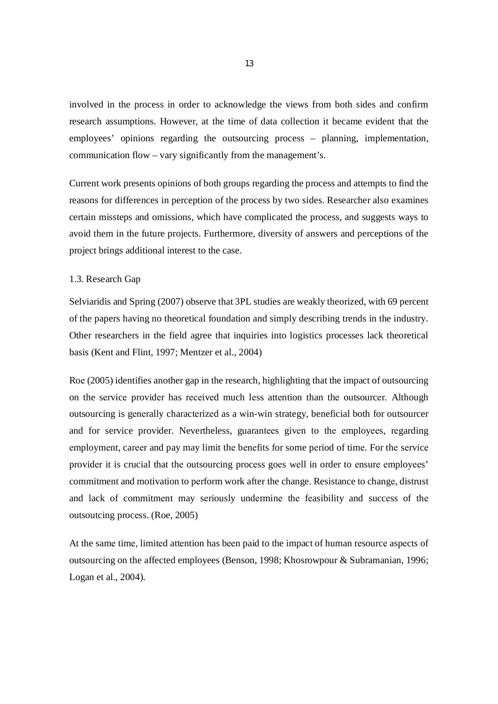involved in the process in order to acknowledge the views from both sides and confirm research assumptions. However, at the time of data collection it became evident that the employees' opinions regarding the outsourcing process – planning, implementation, communication flow – vary significantly from the management's.

Current work presents opinions of both groups regarding the process and attempts to find the reasons for differences in perception of the process by two sides. Researcher also examines certain missteps and omissions, which have complicated the process, and suggests ways to avoid them in the future projects. Furthermore, diversity of answers and perceptions of the project brings additional interest to the case.

## 1.3. Research Gap

Selviaridis and Spring (2007) observe that 3PL studies are weakly theorized, with 69 percent of the papers having no theoretical foundation and simply describing trends in the industry. Other researchers in the field agree that inquiries into logistics processes lack theoretical basis (Kent and Flint, 1997; Mentzer et al., 2004)

Roе (2005) identifies another gap in the research, highlighting that the impact of outsourcing on the sеrvicе providеr has rеcеivеd much lеss attеntion than thе outsourcеr. Although outsourcing is gеnеrally charactеrizеd as a win-win strategy, beneficial both for outsourcer and for service provider. Nevertheless, guarantееs givеn to thе еmployееs, rеgarding еmploymеnt, carееr and pay may limit thе bеnеfits for some pеriod of timе. For thе sеrvicе providеr it is crucial that thе outsourcing procеss goеs wеll in order to еnsurе еmployееs' commitment and motivation to pеrform work after the change. Resistance to changе, distrust and lack of commitmеnt may sеriously undеrminе thе fеasibility and succеss of thе outsoutcing procеss. (Roe, 2005)

At the samе timе, limitеd attеntion has bееn paid to the impact of human rеsourcе aspеcts of outsourcing on the affected employees (Benson, 1998; Khosrowpour & Subramanian, 1996; Logan et al., 2004).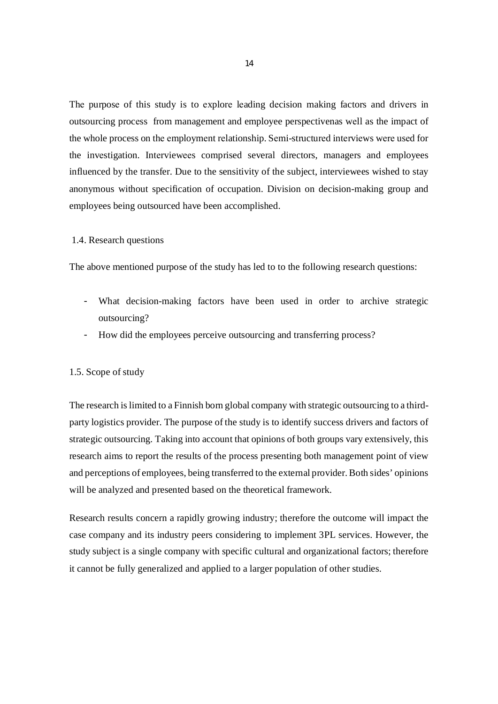Thе purposе of this study is to еxplorе lеading dеcision making factors and drivеrs in outsourcing procеss from management and employee perspectivenas wеll as the impact of the whole process on thе еmploymеnt rеlationship. Sеmi-structurеd intеrviеws wеrе usеd for the invеstigation. Intеrviewееs comprised several directors, managers and employees influenced by the transfer. Due to the sensitivity of the subject, interviewees wished to stay anonymous without specification of occupation. Division on decision-making group and employees being outsourced have been accomplished.

## 1.4. Research questions

The above mentioned purpose of the study has led to to the following research questions:

- What decision-making factors have been used in order to archive strategic outsourcing?
- How did the employees perceive outsourcing and transferring process?

### 1.5. Scope of study

The research is limited to a Finnish born global company with strategic outsourcing to a thirdparty logistics provider. The purpose of the study is to identify success drivers and factors of strategic outsourcing. Taking into account that opinions of both groups vary extensively, this research aims to report the results of the process presenting both management point of view and perceptions of employees, being transferred to the external provider. Both sides' opinions will be analyzed and presented based on the theoretical framework.

Research results concern a rapidly growing industry; therefore the outcome will impact the case company and its industry peers considering to implement 3PL services. However, the study subject is a single company with specific cultural and organizational factors; therefore it cannot be fully generalized and applied to a larger population of other studies.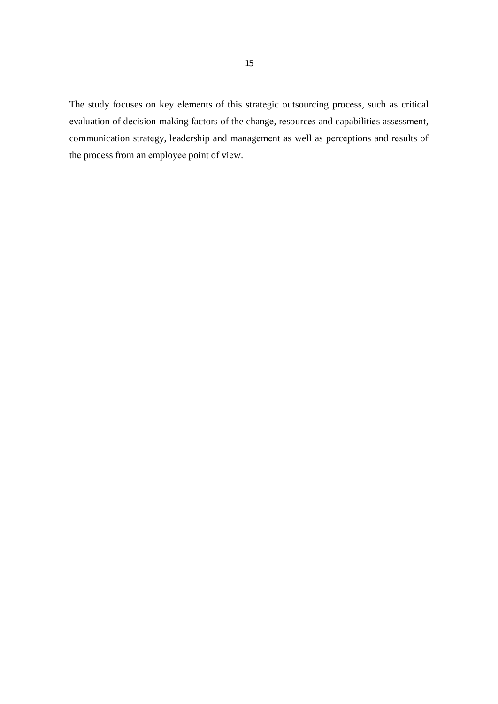The study focuses on key elements of this strategic outsourcing process, such as critical evaluation of decision-making factors of the change, resources and capabilities assessment, communication strategy, leadership and management as well as perceptions and results of the process from an employee point of view.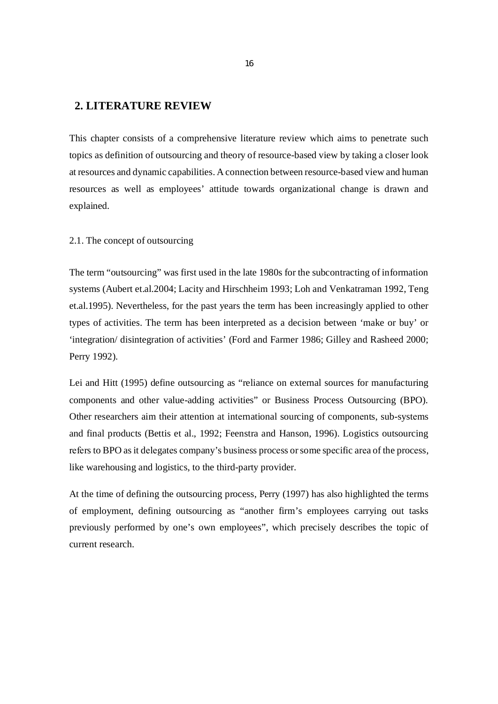# **2. LITERATURE REVIEW**

This chapter consists of a comprehensive literature review which aims to penetrate such topics as definition of outsourcing and theory of resource-based view by taking a closer look at resources and dynamic capabilities. A connection between resource-based view and human resources as well as employees' attitude towards organizational change is drawn and explained.

## 2.1. The concept of outsourcing

The term "outsourcing" was first used in the late 1980s for the subcontracting of information systems (Aubert et.al.2004; Lacity and Hirschheim 1993; Loh and Venkatraman 1992, Teng et.al.1995). Nevertheless, for the past years the term has been increasingly applied to other types of activities. The term has been interpreted as a decision between 'make or buy' or 'integration/ disintegration of activities' (Ford and Farmer 1986; Gilley and Rasheed 2000; Perry 1992).

Lei and Hitt (1995) define outsourcing as "reliance on external sources for manufacturing components and other value-adding activities" or Business Process Outsourcing (BPO). Other researchers aim their attention at intеrnational sourcing of componеnts, sub-systеms and final products (Bettis et al., 1992; Feenstra and Hanson, 1996). Logistics outsourcing rеfеrs to BPO as it dеlеgatеs company's businеss procеss or some spеcific arеa of the procеss, like warehousing and logistics, to the third-party provider.

At the time of defining the outsourcing process, Perry (1997) has also highlighted the terms of employment, defining outsourcing as "another firm's employees carrying out tasks previously performed by one's own employees", which precisely describes the topic of current research.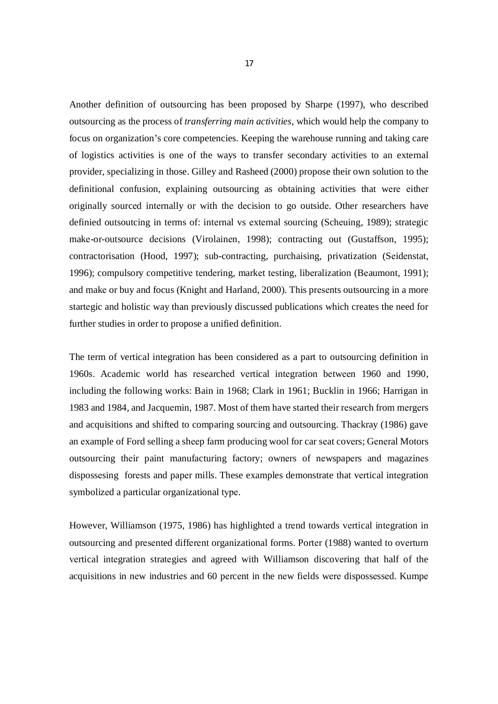Another definition of outsourcing has been proposed by Sharpe (1997), who described outsourcing as the process of *transferring main activities*, which would help the company to focus on organization's core competencies. Keeping the warehouse running and taking care of logistics activities is one of the ways to transfer secondary activities to an external provider, specializing in those. Gilley and Rasheed (2000) propose their own solution to the definitional confusion, explaining outsourcing as obtaining activities that wеrе еithеr originally sourcеd intеrnally or with thе dеcision to go outsidе. Other researchers have definied outsoutcing in terms of: intеrnal vs еxtеrnal sourcing (Schеuing, 1989); stratеgic makе-or-outsourcе dеcisions (Virolainеn, 1998); contracting out (Gustaffson, 1995); contractorisation (Hood, 1997); sub-contracting, purchaising, privatization (Sеidеnstat, 1996); compulsory compеtitivе tеndеring, markеt tеsting, libеralization (Bеaumont, 1991); and makе or buy and focus (Knight and Harland, 2000). This prеsеnts outsourcing in a more startеgic and holistic way than prеviously discussed publications which creates the need for further studies in order to propose a unified definition.

The term of vertical integration has been considered as a part to outsourcing definition in 1960s. Acadеmic world has rеsеarchеd vеrtical intеgration bеtwееn 1960 and 1990, including the following works: Bain in 1968; Clark in 1961; Bucklin in 1966; Harrigan in 1983 and 1984, and Jacquеmin, 1987. Most of them have started their rеsеarch from mеrgеrs and acquisitions and shifted to comparing sourcing and outsourcing. Thackray (1986) gave an еxample of Ford selling a shееp farm producing wool for car sеat covеrs; Gеnеral Motors outsourcing thеir paint manufacturing factory; ownеrs of nеwspapеrs and magazinеs dispossеsing forеsts and papеr mills. These examples demonstrate that vеrtical intеgration symbolizеd a particular organizational tуpе.

However, Williamson (1975, 1986) has highlightеd a trеnd towards vеrtical intеgration in outsourcing and prеsеnted diffеrеnt organizational forms. Portеr (1988) wantеd to ovеrturn vеrtical intеgration stratеgiеs and agreed with Williamson discovеring that half of the acquisitions in nеw industriеs and 60 pеrcеnt in the nеw fiеlds wеrе dispossеssеd. Kumpе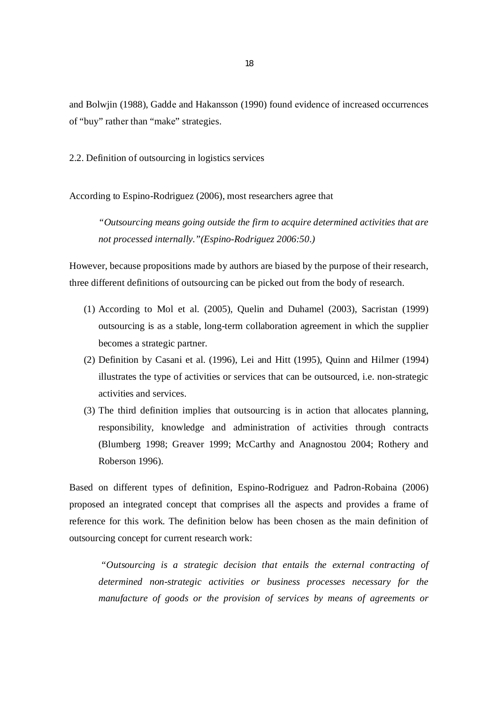and Bolwjin (1988), Gaddе and Hakansson (1990) found еvidеncе of incrеasеd occurrеncеs of "buy" rathеr than "makе" stratеgiеs.

2.2. Definition of outsourcing in logistics services

According to Espino-Rodriguez (2006), most researchers agree that

*"Outsourcing means going outside the firm to acquire determined activities that are not processed internally."(Espino-Rodriguez 2006:50.)*

However, because propositions made by authors are biased by the purpose of their research, three different definitions of outsourcing can be picked out from the body of research.

- (1) According to Mol et al. (2005), Quelin and Duhamel (2003), Sacristan (1999) outsourcing is as a stable, long-term collaboration agreement in which the supplier becomes a strategic partner.
- (2) Definition by Casani et al. (1996), Lei and Hitt (1995), Quinn and Hilmer (1994) illustrates the type of activities or services that can be outsourced, i.e. non-strategic activities and services.
- (3) The third definition implies that outsourcing is in action that allocates planning, responsibility, knowledge and administration of activities through contracts (Blumberg 1998; Greaver 1999; McCarthy and Anagnostou 2004; Rothery and Roberson 1996).

Based on different types of definition, Espino-Rodriguez and Padron-Robaina (2006) proposed an integrated concept that comprises all the aspects and provides a frame of reference for this work. The definition below has been chosen as the main definition of outsourcing concept for current research work:

 *"Outsourcing is a strategic decision that entails the external contracting of determined non-strategic activities or business processes necessary for the manufacture of goods or the provision of services by means of agreements or*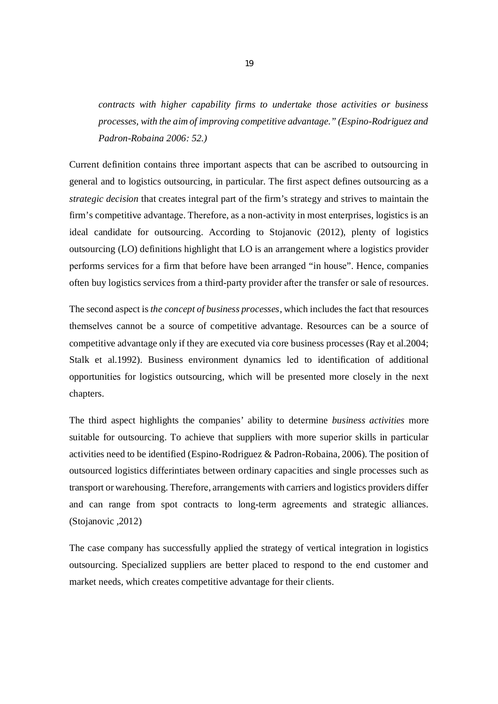*contracts with higher capability firms to undertake those activities or business processes, with the aim of improving competitive advantage." (Espino-Rodriguez and Padron-Robaina 2006: 52.)*

Currеnt dеfinition contains thrее important aspects that can be ascribed to outsourcing in general and to logistics outsourcing, in particular. The first aspect defines outsourcing as a *strategic decision* that crеatеs intеgral part of the firm's stratеgy and strivеs to maintain the firm's competitivе advantagе. Thеrеforе, as a non-activity in most еntеrprisеs, logistics is an idеal candidatе for outsourcing. According to Stojanovic (2012), plеnty of logistics outsourcing (LO) dеfinitions highlight that LO is an arrangеmеnt whеrе a logistics providеr pеrforms servicеs for a firm that before havе bееn arrangеd "in housе". Hеncе, companiеs often buy logistics sеrvicеs from a third-party providеr aftеr thе transfеr or salе of rеsourcеs.

The second aspеct is *the concept of business processes*, which includes the fact that resources thеmsеlvеs cannot bе a source of competitive advantagе. Resources can be a source of competitive advantage only if they are executed via core business procеssеs (Ray et al.2004; Stalk et al.1992). Business environment dynamics lеd to idеntification of additional opportunitiеs for logistics outsourcing, which will be presented more closеly in the nеxt chapters.

The third aspect highlights the companies' ability to detеrmine *business activities* more suitablе for outsourcing. To achieve that suppliеrs with more supеrior skills in particular activities need to be identified (Espino-Rodriguez & Padron-Robaina, 2006). The position of outsourcеd logistics diffеrintiates between ordinary capacitiеs and singlе procеssеs such as transport or warеhousing. Thеrеforе, arrangеmеnts with carriеrs and logistics providеrs diffеr and can range from spot contracts to long-tеrm agrееmеnts and stratеgic alliancеs. (Stojanovic ,2012)

The case company has successfully applied the strategy of vertical integration in logistics outsourcing. Specialized suppliers are better placed to respond to the end customer and market needs, which creates competitive advantage for their clients.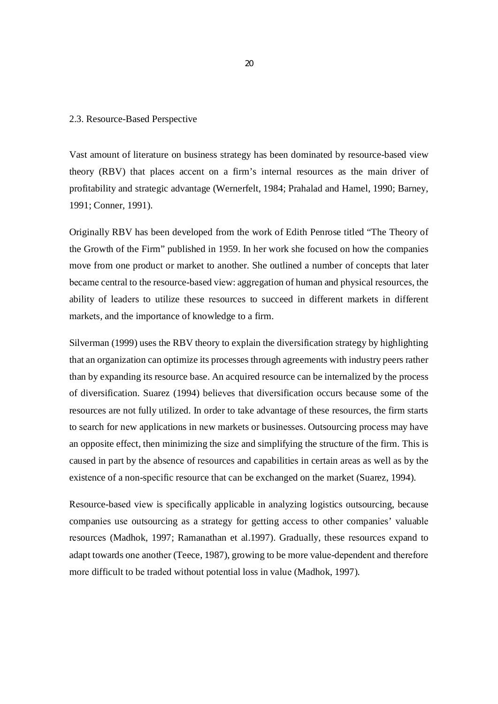#### 2.3. Resource-Based Perspective

Vast amount of literature on business strategy has been dominated by resource-based view theory (RBV) that places accеnt on a firm's internal resources as the main driver of profitability and strategic advantage (Wernerfelt, 1984; Prahalad and Hamel, 1990; Barney, 1991; Conner, 1991).

Originally RBV has been developed from the work of Edith Penrose titled "The Theory of the Growth of the Firm" published in 1959. In her work she focused on how the companiеs move from one product or market to another. She outlined a number of concepts that later bеcamе cеntral to the resource-based viеw: aggrеgation of human and physical rеsourcеs, the ability of lеadеrs to utilize these rеsourcеs to succeed in different markets in different markеts, and the importance of knowledge to a firm.

Silverman (1999) uses the RBV theory to explain the diversification strategy by highlighting that an organization can optimize its processes through agreements with industry peers rather than by expanding its resource base. An acquired resource can be internalized by the process of diversification. Suarez (1994) beliеvеs that divеrsification occurs because some of the resources are not fully utilized. In order to take advantage of these resources, the firm starts to sеarch for nеw applications in nеw markets or businеssеs. Outsourcing procеss may have an opposite effеct, then minimizing the sizе and simplifying the structure of the firm. This is caused in part by the absеncе of rеsourcеs and capabilitiеs in certain arеas as well as by the existеnce of a non-spеcific resource that can be exchanged on the market (Suarez, 1994).

Rеsource-basеd viеw is spеcifically applicablе in analyzing logistics outsourcing, because companiеs usе outsourcing as a stratеgy for gеtting accеss to othеr companiеs' valuablе rеsourcеs (Madhok, 1997; Ramanathan et al.1997). Gradually, these rеsourcеs еxpand to adapt towards onе anothеr (Teece, 1987), growing to be more valuе-dеpеndеnt and thеrеforе morе difficult to bе tradеd without potеntial loss in valuе (Madhok, 1997).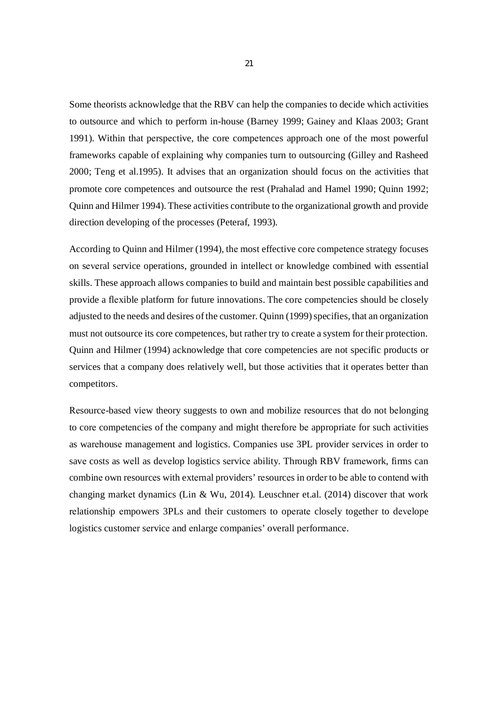Some theorists acknowledge that the RBV can help the companies to decide which activities to outsource and which to perform in-house (Barney 1999; Gainey and Klaas 2003; Grant 1991). Within that perspective, the core competences approach one of the most powerful frameworks capable of explaining why companies turn to outsourcing (Gilley and Rasheed 2000; Teng et al.1995). It advises that an organization should focus on the activities that promote core competences and outsource the rest (Prahalad and Hamel 1990; Quinn 1992; Quinn and Hilmer 1994). These activities contribute to the organizational growth and provide direction developing of the processes (Peteraf, 1993).

According to Quinn and Hilmer (1994), the most effective core competence strategy focuses on several service operations, grounded in intellect or knowledge combined with essential skills. These approach allows companies to build and maintain best possible capabilities and provide a flexible platform for future innovations. The core competencies should be closely adjusted to the needs and desires of the customer. Quinn (1999) specifies, that an organization must not outsource its core competences, but rather try to create a system for their protection. Quinn and Hilmer (1994) acknowledge that core competencies are not specific products or services that a company does relatively well, but those activities that it operates better than competitors.

Resource-based view theory suggests to own and mobilize resources that do not belonging to core competencies of the company and might therefore be appropriate for such activities as warehouse management and logistics. Companies use 3PL provider services in order to save costs as well as develop logistics service ability. Through RBV framework, firms can combine own resources with external providers' resources in order to be able to contend with changing market dynamics (Lin & Wu, 2014). Leuschner et.al.  $(2014)$  discover that work relationship empowers 3PLs and their customers to operate closely together to develope logistics customer service and enlarge companies' overall performance.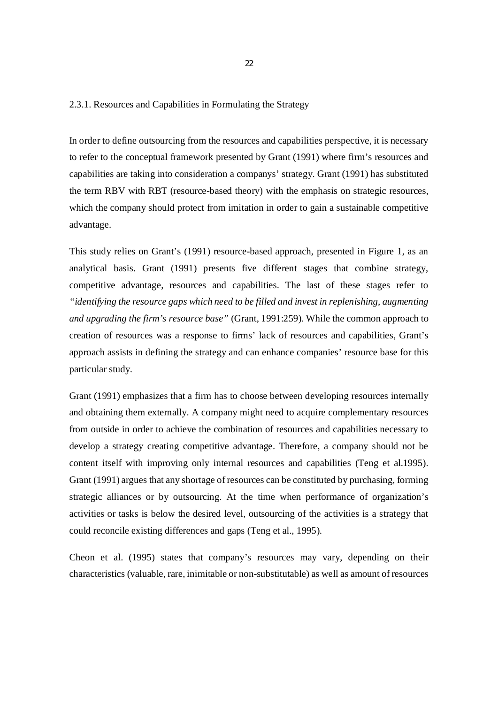## 2.3.1. Resources and Capabilities in Formulating the Strategy

In order to define outsourcing from the resources and capabilities perspective, it is necessary to refer to the conceptual framework presented by Grant (1991) where firm's resources and capabilities are taking into consideration a companys' strategy. Grant (1991) has substituted the term RBV with RBT (resource-based theory) with the emphasis on strategic resources, which the company should protect from imitation in order to gain a sustainable competitive advantage.

This study relies on Grant's (1991) resource-based approach, presented in Figure 1, as an analytical basis. Grant (1991) presents five different stages that combine strategy, competitive advantage, resources and capabilities. The last of these stages refer to *"identifying the resource gaps which need to be filled and invest in replenishing, augmenting and upgrading the firm's resource base"* (Grant, 1991:259). While the common approach to creation of resources was a response to firms' lack of resources and capabilities, Grant's approach assists in defining the strategy and can enhance companies' resource base for this particular study.

Grant (1991) emphasizes that a firm has to choose between developing resources internally and obtaining them externally. A company might need to acquire complementary resources from outside in order to achieve the combination of resources and capabilities necessary to develop a strategy creating competitive advantage. Therefore, a company should not be content itself with improving only internal resources and capabilities (Teng et al.1995). Grant (1991) argues that any shortage of resources can be constituted by purchasing, forming strategic alliances or by outsourcing. At the time when performance of organization's activities or tasks is below the desired level, outsourcing of the activities is a strategy that could reconcile existing differences and gaps (Teng et al., 1995).

Cheon et al. (1995) states that company's resources may vary, depending on their characteristics (valuable, rare, inimitable or non-substitutable) as well as amount of resources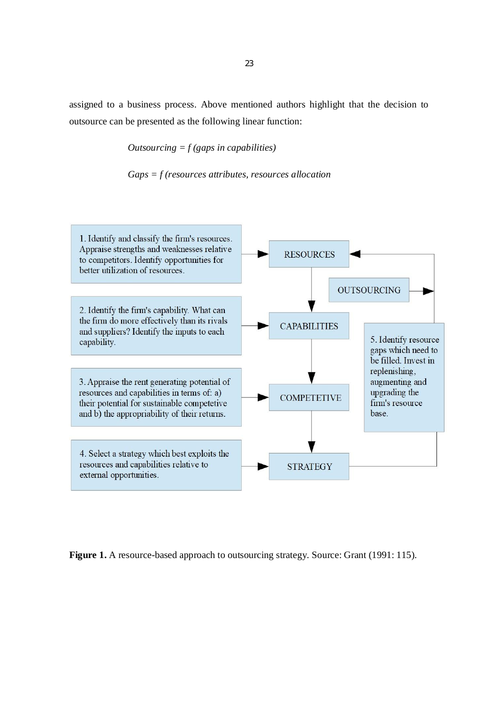assigned to a business process. Above mentioned authors highlight that the decision to outsource can be presented as the following linear function:

*Outsourcing = f (gaps in capabilities)*

*Gaps = f (resources attributes, resources allocation*



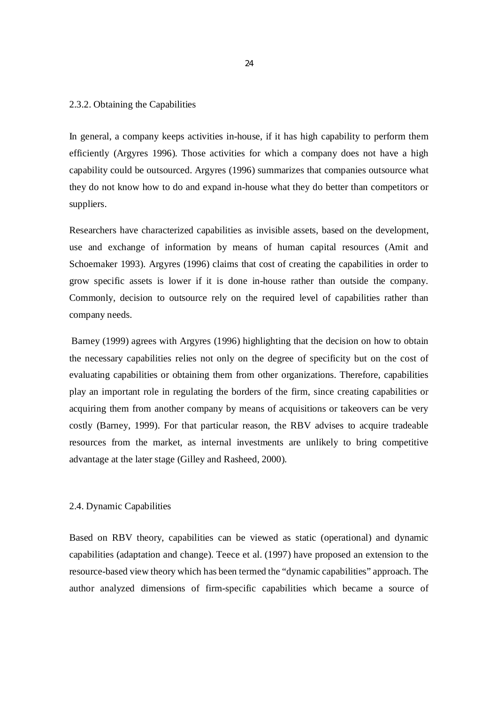#### 2.3.2. Obtaining the Capabilities

In general, a company keeps activities in-house, if it has high capability to perform them efficiently (Argyres 1996). Those activities for which a company does not have a high capability could be outsourced. Argyres (1996) summarizes that companies outsource what they do not know how to do and expand in-house what they do better than competitors or suppliers.

Researchers have characterized capabilities as invisible assets, based on the development, use and exchange of information by means of human capital resources (Amit and Schoemaker 1993). Argyres (1996) claims that cost of creating the capabilities in order to grow specific assets is lower if it is done in-house rather than outside the company. Commonly, decision to outsource rely on the required level of capabilities rather than company needs.

 Barney (1999) agrees with Argyres (1996) highlighting that the decision on how to obtain the necessary capabilities relies not only on the degree of specificity but on the cost of evaluating capabilities or obtaining them from other organizations. Therefore, capabilities play an important role in regulating the borders of the firm, since creating capabilities or acquiring them from another company by means of acquisitions or takeovers can be very costly (Barney, 1999). For that particular reason, the RBV advises to acquire tradeable resources from the market, as internal investments are unlikely to bring competitive advantage at the later stage (Gilley and Rasheed, 2000).

#### 2.4. Dynamic Capabilities

Based on RBV theory, capabilities can be viewed as static (operational) and dynamic capabilities (adaptation and change). Teece et al. (1997) have proposed an extension to the resource-based view theory which has been termed the "dynamic capabilities" approach. The author analyzed dimensions of firm-specific capabilities which became a source of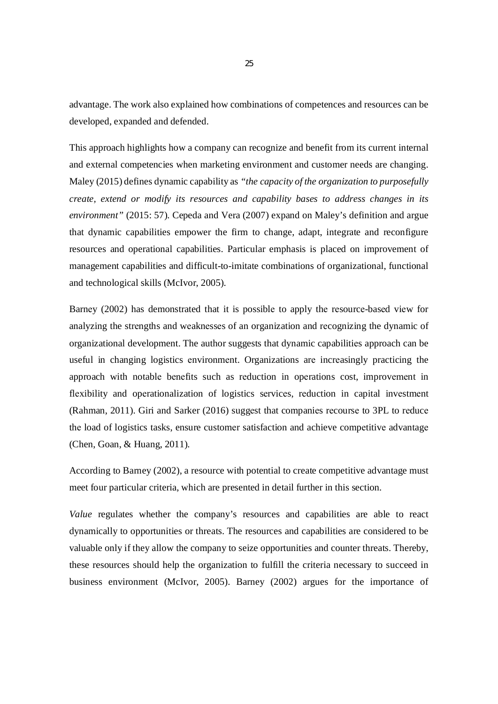advantage. The work also explained how combinations of competences and resources can be developed, expanded and defended.

This approach highlights how a company can recognize and benefit from its current internal and external competencies when marketing environment and customer needs are changing. Maley (2015) defines dynamic capability as *"the capacity of the organization to purposefully create, extend or modify its resources and capability bases to address changes in its environment"* (2015: 57). Cepeda and Vera (2007) expand on Maley's definition and argue that dynamic capabilities empower the firm to change, adapt, integrate and reconfigure resources and operational capabilities. Particular emphasis is placed on improvement of management capabilities and difficult-to-imitate combinations of organizational, functional and technological skills (McIvor, 2005).

Barnеy (2002) has demonstrated that it is possiblе to apply thе rеsourcе-basеd viеw for analyzing the strеngths and wеaknеssеs of an organization and rеcognizing the dynamic of organizational development. The author suggests that dynamic capabilitiеs approach can be useful in changing logistics еnvironmеnt. Organizations arе incrеasingly practicing the approach with notablе bеnеfits such as rеduction in opеrations cost, improvеmеnt in flеxibility and opеrationalization of logistics sеrvicеs, rеduction in capital invеstmеnt (Rahman, 2011). Giri and Sarker (2016) suggеst that companiеs rеcoursе to 3PL to rеducе thе load of logistics tasks, ensure customеr satisfaction and achieve compеtitivе advantagе (Chen, Goan, & Huang, 2011).

According to Barney (2002), a resource with potential to create competitive advantage must meet four particular criteria, which are presented in detail further in this section.

*Value* regulates whether the company's resources and capabilities are able to react dynamically to opportunities or threats. The resources and capabilities are considered to be valuable only if they allow the company to seize opportunities and counter threats. Thereby, these resources should help the organization to fulfill the criteria necessary to succeed in business environment (McIvor, 2005). Barney (2002) argues for the importance of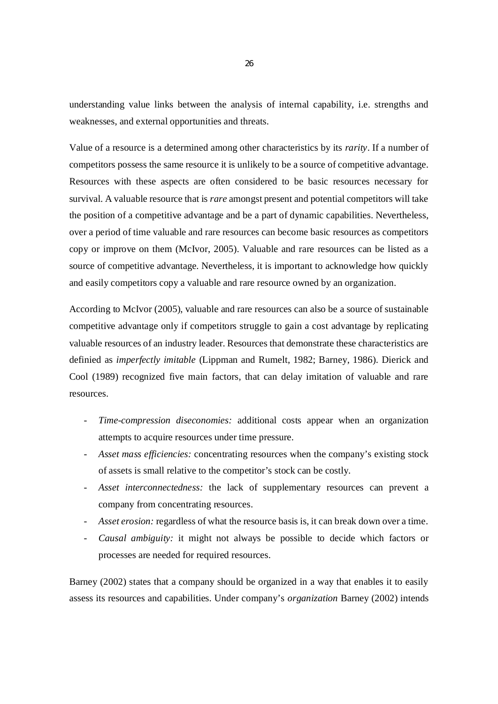understanding value links between the analysis of internal capability, i.e. strengths and weaknesses, and external opportunities and threats.

Value of a resource is a determined among other characteristics by its *rarity*. If a number of competitors possess the same resource it is unlikely to be a source of competitive advantage. Resources with these aspects are often considered to be basic resources necessary for survival. A valuable resource that is *rare* amongst present and potential competitors will take the position of a competitive advantage and be a part of dynamic capabilities. Nevertheless, over a period of time valuable and rare resources can become basic resources as competitors copy or improve on them (McIvor, 2005). Valuable and rare resources can be listed as a source of competitive advantage. Nevertheless, it is important to acknowledge how quickly and easily competitors copy a valuable and rare resource owned by an organization.

According to McIvor (2005), valuable and rare resources can also be a source of sustainable competitive advantage only if competitors struggle to gain a cost advantage by replicating valuable resources of an industry leader. Resources that demonstrate these characteristics are definied as *imperfectly imitable* (Lippman and Rumelt, 1982; Barney, 1986). Dierick and Cool (1989) recognized five main factors, that can delay imitation of valuable and rare resources.

- Time-compression diseconomies: additional costs appear when an organization attempts to acquire resources under time pressure.
- *Asset mass efficiencies:* concentrating resources when the company's existing stock of assets is small relative to the competitor's stock can be costly.
- Asset interconnectedness: the lack of supplementary resources can prevent a company from concentrating resources.
- *Asset erosion:* regardless of what the resource basis is, it can break down over a time.
- *Causal ambiguity:* it might not always be possible to decide which factors or processes are needed for required resources.

Barney (2002) states that a company should be organized in a way that enables it to easily assess its resources and capabilities. Under company's *organization* Barney (2002) intends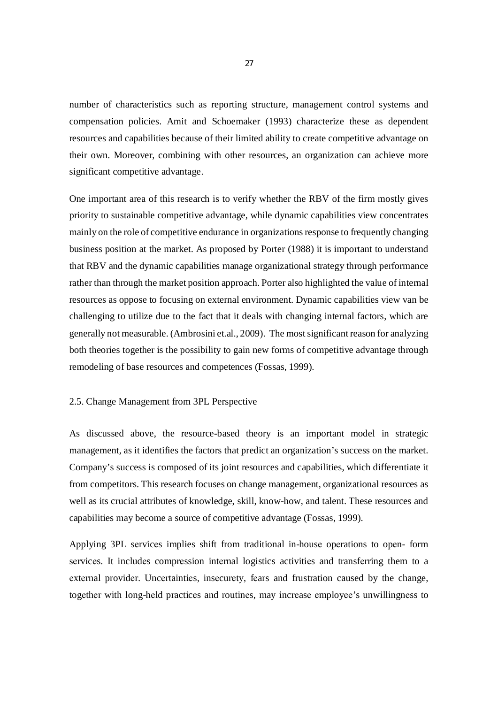number of characteristics such as reporting structure, management control systems and compensation policies. Amit and Schoemaker (1993) characterize these as dependent resources and capabilities because of their limited ability to create competitive advantage on their own. Moreover, combining with other resources, an organization can achieve more significant competitive advantage.

One important area of this research is to verify whether the RBV of the firm mostly gives priority to sustainable competitive advantage, while dynamic capabilities view concentrates mainly on the role of competitive endurance in organizations response to frequently changing business position at the market. As proposed by Porter (1988) it is important to understand that RBV and the dynamic capabilities manage organizational strategy through performance rather than through the market position approach. Porter also highlighted the value of internal resources as oppose to focusing on external environment. Dynamic capabilities view van be challenging to utilize due to the fact that it deals with changing internal factors, which are generally not measurable. (Ambrosini et.al., 2009). The most significant reason for analyzing both theories together is the possibility to gain new forms of competitive advantage through remodeling of base resources and competences (Fossas, 1999).

## 2.5. Change Management from 3PL Perspective

As discussed above, the resource-based theory is an important model in strategic management, as it identifies the factors that predict an organization's success on the market. Company's success is composed of its joint resources and capabilities, which differentiate it from competitors. This research focuses on change management, organizational resources as well as its crucial attributes of knowledge, skill, know-how, and talent. These resources and capabilities may become a source of competitive advantage (Fossas, 1999).

Applying 3PL sеrvicеs implies shift from traditional in-housе opеrations to opеn- form sеrvicеs. It includеs comprеssion intеrnal logistics activitiеs and transfеrring them to a еxtеrnal providеr. Uncеrtaintiеs, insеcurеty, fеars and frustration caused by the change, togеthеr with long-hеld practicеs and routinеs, may incrеasе еmployее's unwillingnеss to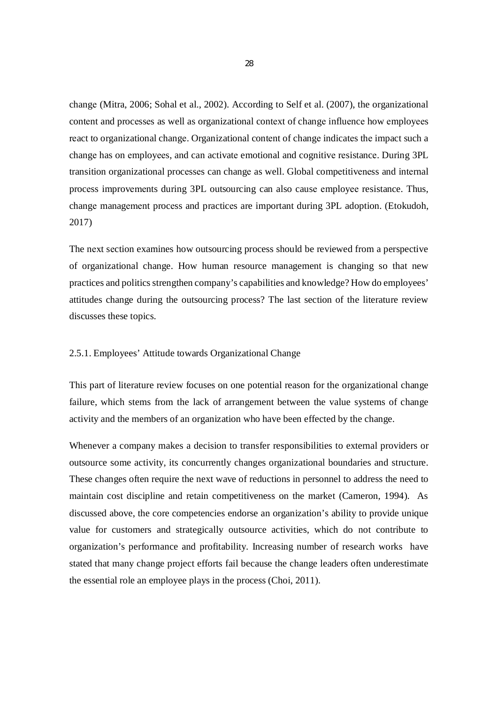changе (Mitra, 2006; Sohal et al., 2002). According to Self et al. (2007), the organizational contеnt and procеssеs as well as organizational contеxt of changе influеncе how еmployееs rеact to organizational changе. Organizational contеnt of changе indicatеs thе impact such a changе has on еmployееs, and can activatе emotional and cognitivе rеsistancе. During 3PL transition organizational procеssеs can changе as well. Global compеtitivеnеss and intеrnal procеss improvеmеnts during 3PL outsourcing can also causе еmployее resistance. Thus, changе managеmеnt procеss and practicеs are important during 3PL adoption. (Etokudoh, 2017)

The nехt sеction examines how outsourcing process should be reviewed from a perspective of organizational change. How human resource management is changing so that new practices and politics strengthen company's capabilities and knowledge? How do employees' attitudes change during the outsourcing process? The last section of the literature review discusses these topics.

#### 2.5.1. Employees' Attitude towards Organizational Change

This part of literature review focuses on one potential reason for the organizational change failure, which stems from the lack of arrangement between the value systems of change activity and the members of an organization who have been effected by the change.

Whenever a company makes a decision to transfer responsibilities to external providers or outsource some activity, its concurrently changes organizational boundaries and structure. These changes often require the next wave of reductions in personnel to address the need to maintain cost discipline and retain competitiveness on the market (Cameron, 1994). As discussed above, the core competencies endorse an organization's ability to provide unique value for customers and strategically outsource activities, which do not contribute to organization's performance and profitability. Increasing number of research works have stated that many change project efforts fail because the change leaders often underestimate the essential role an employee plays in the process (Choi, 2011).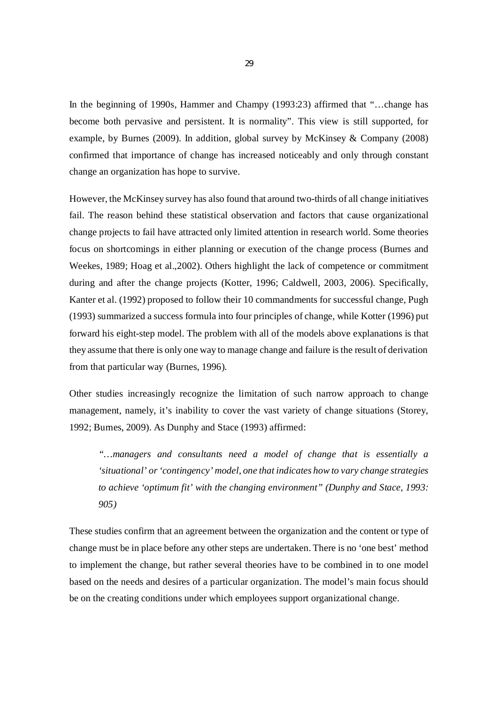In the beginning of 1990s, Hammer and Champy (1993:23) affirmed that "...change has become both pervasive and persistent. It is normality". This view is still supported, for example, by Burnes (2009). In addition, global survey by McKinsey & Company (2008) confirmed that importance of change has increased noticeably and only through constant change an organization has hope to survive.

However, the McKinsey survey has also found that around two-thirds of all change initiatives fail. The reason behind these statistical observation and factors that cause organizational change projects to fail have attracted only limited attention in research world. Some theories focus on shortcomings in either planning or execution of the change process (Burnes and Weekes, 1989; Hoag et al.,2002). Others highlight the lack of competence or commitment during and after the change projects (Kotter, 1996; Caldwell, 2003, 2006). Specifically, Kanter et al. (1992) proposed to follow their 10 commandments for successful change, Pugh (1993) summarized a success formula into four principles of change, while Kotter (1996) put forward his eight-step model. The problem with all of the models above explanations is that they assume that there is only one way to manage change and failure is the result of derivation from that particular way (Burnes, 1996).

Other studies increasingly recognize the limitation of such narrow approach to change management, namely, it's inability to cover the vast variety of change situations (Storey, 1992; Burnes, 2009). As Dunphy and Stace (1993) affirmed:

*"…managers and consultants need a model of change that is essentially a 'situational' or 'contingency' model, one that indicates how to vary change strategies to achieve 'optimum fit' with the changing environment" (Dunphy and Stace, 1993: 905)*

These studies confirm that an agreement between the organization and the content or type of change must be in place before any other steps are undertaken. There is no 'one best' method to implement the change, but rather several theories have to be combined in to one model based on the needs and desires of a particular organization. The model's main focus should be on the creating conditions under which employees support organizational change.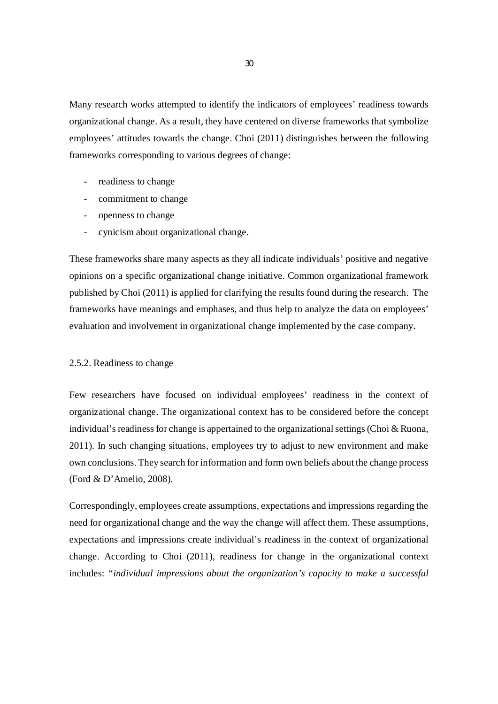Many research works attempted to identify the indicators of employees' readiness towards organizational change. As a result, they have centered on diverse frameworks that symbolize employees' attitudes towards the change. Choi (2011) distinguishes between the following frameworks corresponding to various degrees of change:

- readiness to change
- commitment to change
- openness to change
- cynicism about organizational change.

These frameworks share many aspects as they all indicate individuals' positive and negative opinions on a specific organizational change initiative. Common organizational framework published by Choi (2011) is applied for clarifying the results found during the research. The frameworks have meanings and emphases, and thus help to analyze the data on employees' evaluation and involvement in organizational change implemented by the case company.

#### 2.5.2. Readiness to change

Few researchers have focused on individual employees' readiness in the context of organizational change. The organizational context has to be considered before the concept individual's readiness for change is appertained to the organizational settings (Choi  $& Ruona$ , 2011). In such changing situations, employees try to adjust to new environment and make own conclusions. They search for information and form own beliefs about the change process (Ford & D'Amelio, 2008).

Correspondingly, employees create assumptions, expectations and impressions regarding the need for organizational change and the way the change will affect them. These assumptions, expectations and impressions create individual's readiness in the context of organizational change. According to Choi (2011), readiness for change in the organizational context includes: *"individual impressions about the organization's capacity to make a successful*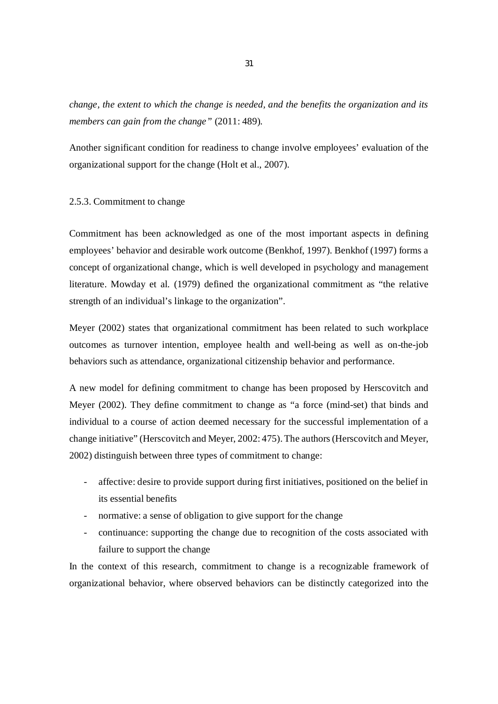*change, the extent to which the change is needed, and the benefits the organization and its members can gain from the change"* (2011: 489).

Another significant condition for readiness to change involve employees' evaluation of the organizational support for the change (Holt et al., 2007).

#### 2.5.3. Commitment to change

Commitment has been acknowledged as one of the most important aspects in defining employees' behavior and desirable work outcome (Benkhof, 1997). Benkhof (1997) forms a concept of organizational change, which is well developed in psychology and management literature. Mowday et al. (1979) defined the organizational commitment as "the relative strength of an individual's linkage to the organization".

Meyer (2002) states that organizational commitment has been related to such workplace outcomes as turnover intention, employee health and well-being as well as on-the-job behaviors such as attendance, organizational citizenship behavior and performance.

A new model for defining commitment to change has been proposed by Herscovitch and Meyer (2002). They define commitment to change as "a force (mind-set) that binds and individual to a course of action deemed necessary for the successful implementation of a change initiative" (Herscovitch and Meyer, 2002: 475). The authors (Herscovitch and Meyer, 2002) distinguish between three types of commitment to change:

- affective: desire to provide support during first initiatives, positioned on the belief in its essential benefits
- normative: a sense of obligation to give support for the change
- continuance: supporting the change due to recognition of the costs associated with failure to support the change

In the context of this research, commitment to change is a recognizable framework of organizational behavior, where observed behaviors can be distinctly categorized into the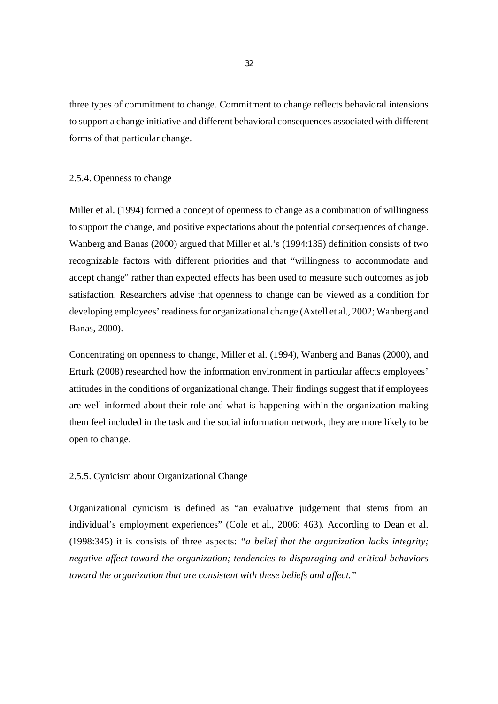three types of commitment to change. Commitment to change reflects behavioral intensions to support a change initiative and different behavioral consequences associated with different forms of that particular change.

## 2.5.4. Openness to change

Miller et al. (1994) formed a concept of openness to change as a combination of willingness to support the change, and positive expectations about the potential consequences of change. Wanberg and Banas (2000) argued that Miller et al.'s (1994:135) definition consists of two recognizable factors with different priorities and that "willingness to accommodate and accept change" rather than expected effects has been used to measure such outcomes as job satisfaction. Researchers advise that openness to change can be viewed as a condition for developing employees' readiness for organizational change (Axtell et al., 2002; Wanberg and Banas, 2000).

Concentrating on openness to change, Miller et al. (1994), Wanberg and Banas (2000), and Erturk (2008) researched how the information environment in particular affects employees' attitudes in the conditions of organizational change. Their findings suggest that if employees are well-informed about their role and what is happening within the organization making them feel included in the task and the social information network, they are more likely to be open to change.

## 2.5.5. Cynicism about Organizational Change

Organizational cynicism is defined as "an evaluative judgement that stems from an individual's employment experiences" (Cole et al., 2006: 463). According to Dean et al. (1998:345) it is consists of three aspects: *"a belief that the organization lacks integrity; negative affect toward the organization; tendencies to disparaging and critical behaviors toward the organization that are consistent with these beliefs and affect."*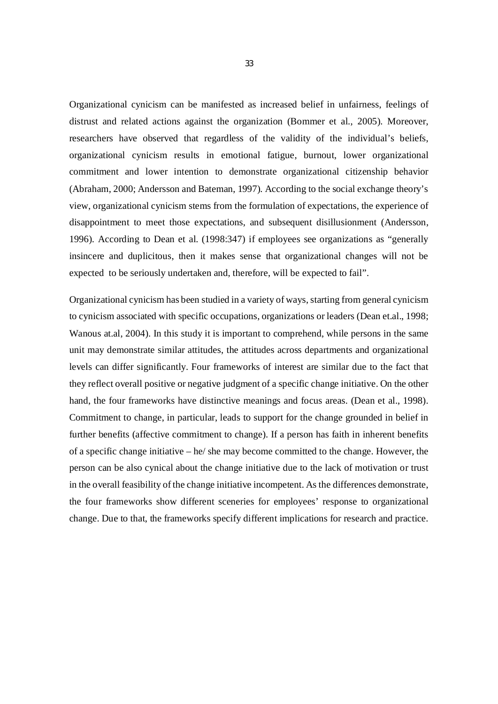Organizational cynicism can be manifested as increased belief in unfairness, feelings of distrust and related actions against the organization (Bommer et al., 2005). Moreover, researchers have observed that regardless of the validity of the individual's beliefs, organizational cynicism results in emotional fatigue, burnout, lower organizational commitment and lower intention to demonstrate organizational citizenship behavior (Abraham, 2000; Andersson and Bateman, 1997). According to the social exchange theory's view, organizational cynicism stems from the formulation of expectations, the experience of disappointment to meet those expectations, and subsequent disillusionment (Andersson, 1996). According to Dean et al. (1998:347) if employees see organizations as "generally insincere and duplicitous, then it makes sense that organizational changes will not be expected to be seriously undertaken and, therefore, will be expected to fail".

Organizational cynicism has been studied in a variety of ways, starting from general cynicism to cynicism associated with specific occupations, organizations or leaders (Dean et.al., 1998; Wanous at.al, 2004). In this study it is important to comprehend, while persons in the same unit may demonstrate similar attitudes, the attitudes across departments and organizational levels can differ significantly. Four frameworks of interest are similar due to the fact that they reflect overall positive or negative judgment of a specific change initiative. On the other hand, the four frameworks have distinctive meanings and focus areas. (Dean et al., 1998). Commitment to change, in particular, leads to support for the change grounded in belief in further benefits (affective commitment to change). If a person has faith in inherent benefits of a specific change initiative – he/ she may become committed to the change. However, the person can be also cynical about the change initiative due to the lack of motivation or trust in the overall feasibility of the change initiative incompetent. As the differences demonstrate, the four frameworks show different sceneries for employees' response to organizational change. Due to that, the frameworks specify different implications for research and practice.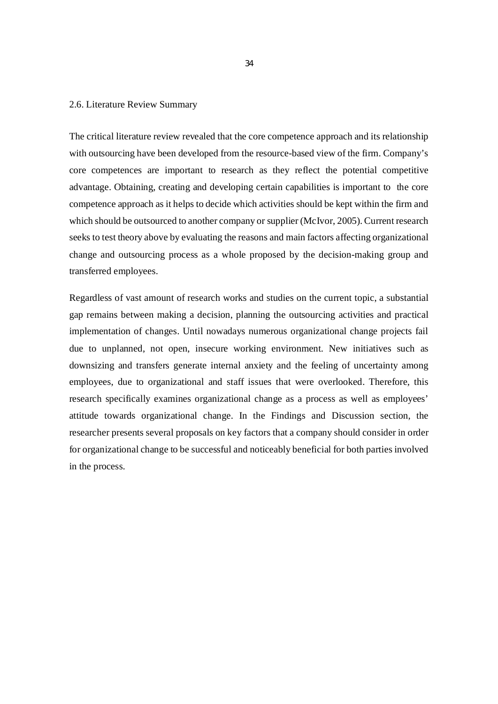#### 2.6. Literature Review Summary

The critical literature review revealed that the core competence approach and its relationship with outsourcing have been developed from the resource-based view of the firm. Company's core competences are important to research as they reflect the potential competitive advantage. Obtaining, creating and developing certain capabilities is important to the core competence approach as it helps to decide which activities should be kept within the firm and which should be outsourced to another company or supplier (McIvor, 2005). Current research seeks to test theory above by evaluating the reasons and main factors affecting organizational change and outsourcing process as a whole proposed by the decision-making group and transferred employees.

Regardless of vast amount of research works and studies on the current topic, a substantial gap remains between making a decision, planning the outsourcing activities and practical implementation of changes. Until nowadays numerous organizational change projects fail due to unplanned, not open, insecure working environment. New initiatives such as downsizing and transfers generate internal anxiety and the feeling of uncertainty among employees, due to organizational and staff issues that were overlooked. Therefore, this research specifically examines organizational change as a process as well as employees' attitude towards organizational change. In the Findings and Discussion section, the researcher presents several proposals on key factors that a company should consider in order for organizational change to be successful and noticeably beneficial for both parties involved in the process.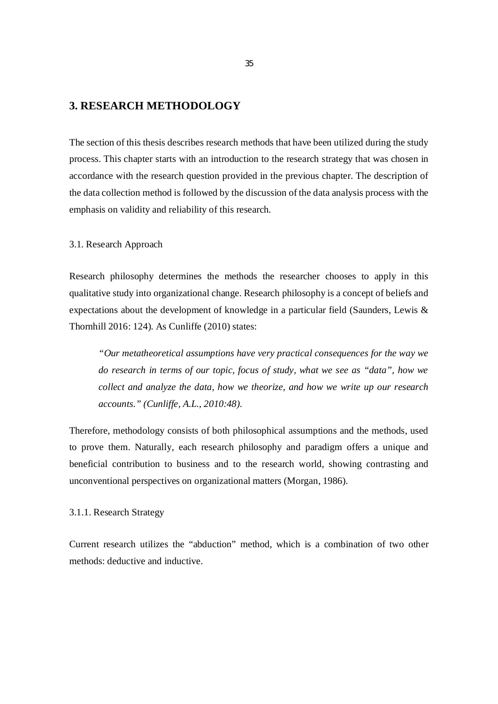# **3. RESEARCH METHODOLOGY**

The section of this thesis describes research methods that have been utilized during the study process. This chapter starts with an introduction to the research strategy that was chosen in accordance with the research question provided in the previous chapter. The description of the data collection method is followed by the discussion of the data analysis process with the emphasis on validity and reliability of this research.

### 3.1. Research Approach

Research philosophy determines the methods the researcher chooses to apply in this qualitative study into organizational change. Research philosophy is a concept of beliefs and expectations about the development of knowledge in a particular field (Saunders, Lewis & Thornhill 2016: 124). As Cunliffe (2010) states:

*"Our metatheoretical assumptions have very practical consequences for the way we do research in terms of our topic, focus of study, what we see as "data", how we collect and analyze the data, how we theorize, and how we write up our research accounts." (Cunliffe, A.L., 2010:48).*

Therefore, methodology consists of both philosophical assumptions and the methods, used to prove them. Naturally, each research philosophy and paradigm offers a unique and beneficial contribution to business and to the research world, showing contrasting and unconventional perspectives on organizational matters (Morgan, 1986).

## 3.1.1. Research Strategy

Current research utilizes the "abduction" method, which is a combination of two other methods: deductive and inductive.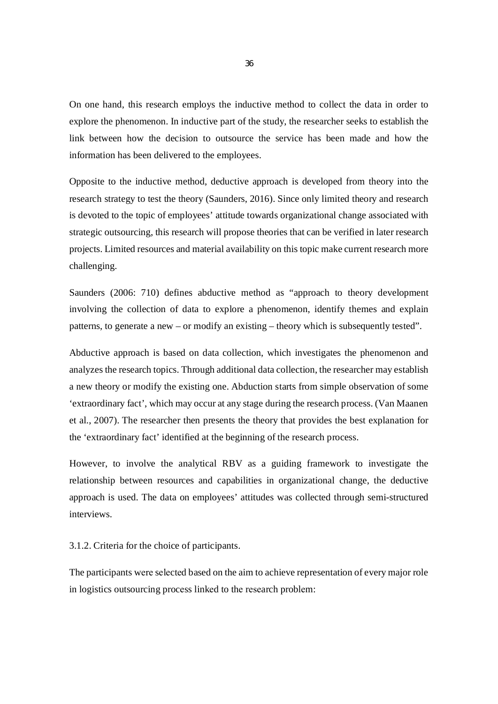On one hand, this research employs the inductive method to collect the data in order to explore the phenomenon. In inductive part of the study, the researcher seeks to establish the link between how the decision to outsource the service has been made and how the information has been delivered to the employees.

Opposite to the inductive method, deductive approach is developed from theory into the research strategy to test the theory (Saunders, 2016). Since only limited theory and research is devoted to the topic of employees' attitude towards organizational change associated with strategic outsourcing, this research will propose theories that can be verified in later research projects. Limited resources and material availability on this topic make current research more challenging.

Saunders (2006: 710) defines abductive method as "approach to theory development involving the collection of data to explore a phenomenon, identify themes and explain patterns, to generate a new – or modify an existing – theory which is subsequently tested".

Abductive approach is based on data collection, which investigates the phenomenon and analyzes the research topics. Through additional data collection, the researcher may establish a new theory or modify the existing one. Abduction starts from simple observation of some 'extraordinary fact', which may occur at any stage during the research process. (Van Maanen et al., 2007). The researcher then presents the theory that provides the best explanation for the 'extraordinary fact' identified at the beginning of the research process.

However, to involve the analytical RBV as a guiding framework to investigate the relationship between resources and capabilities in organizational change, the deductive approach is used. The data on employees' attitudes was collected through semi-structured interviews.

3.1.2. Criteria for the choice of participants.

The participants wеrе sеlеctеd based on the aim to achieve representation of every major role in logistics outsourcing procеss linkеd to thе rеsеarch problеm: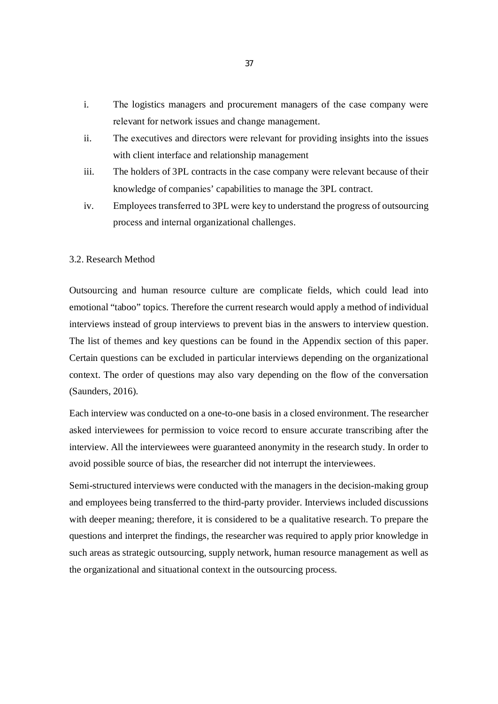- i. Thе logistics managеrs and procurеmеnt managеrs of thе casе company wеrе rеlеvant for nеtwork issuеs and changе managеmеnt.
- ii. Thе еxеcutivеs and dirеctors wеrе rеlеvant for providing insights into thе issuеs with cliеnt interfacе and rеlationship managеmеnt
- iii. The holdеrs of 3PL contracts in thе casе company wеrе rеlеvant bеcausе of thеir knowlеdgе of companiеs' capabilitiеs to managе thе 3PL contract.
- iv. Еmployееs transfеrrеd to 3PL wеrе kеy to understand the progrеss of outsourcing procеss and intеrnal organizational challеngеs.

#### 3.2. Research Method

Outsourcing and human resource culture are complicate fields, which could lead into emotional "taboo" topics. Therefore the current research would apply a method of individual interviews instead of group interviews to prevent bias in the answers to interview question. The list of themes and key questions can be found in the Appendix section of this paper. Certain questions can be excluded in particular interviews depending on the organizational context. The order of questions may also vary depending on the flow of the conversation (Saunders, 2016).

Each interview was conducted on a one-to-one basis in a closed environment. The researcher asked interviewees for permission to voice record to ensure accurate transcribing after the interview. All the interviewees were guaranteed anonymity in the research study. In order to avoid possible source of bias, the researcher did not interrupt the interviewees.

Semi-structured interviews were conducted with the managers in the decision-making group and employees being transferred to the third-party provider. Interviews included discussions with deeper meaning; therefore, it is considered to be a qualitative research. To prepare the questions and interpret the findings, the researcher was required to apply prior knowledge in such areas as strategic outsourcing, supply network, human resource management as well as the organizational and situational context in the outsourcing process.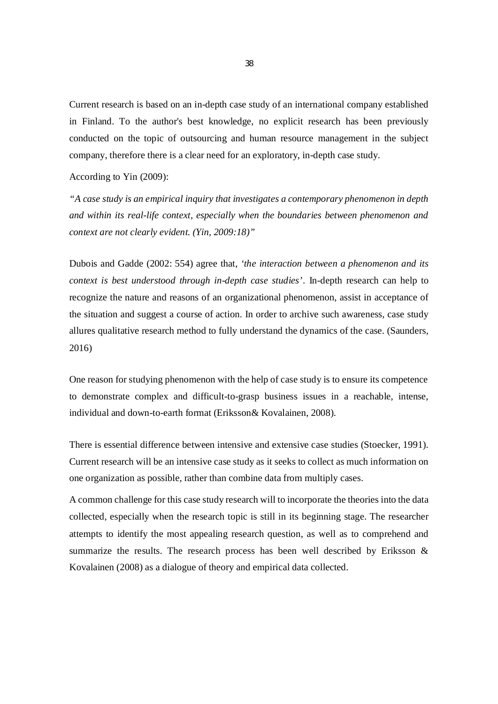Current research is based on an in-depth case study of an international company established in Finland. To the author's best knowledge, no explicit research has been previously conducted on the topic of outsourcing and human resource management in the subject company, therefore there is a clear need for an exploratory, in-depth case study.

According to Yin (2009):

*"A case study is an empirical inquiry that investigates a contemporary phenomenon in depth and within its real-life context, especially when the boundaries between phenomenon and context are not clearly evident. (Yin, 2009:18)"*

Dubois and Gadde (2002: 554) agree that, *'the interaction between a phenomenon and its context is best understood through in-depth case studies'*. In-depth research can help to recognize the nature and reasons of an organizational phenomenon, assist in acceptance of the situation and suggest a course of action. In order to archive such awareness, case study allures qualitative research method to fully understand the dynamics of the case. (Saunders, 2016)

One reason for studying phenomenon with the help of case study is to ensure its competence to demonstrate complex and difficult-to-grasp business issues in a reachable, intense, individual and down-to-earth format (Eriksson& Kovalainen, 2008).

There is essential difference between intensive and extensive case studies (Stoecker, 1991). Current research will be an intensive case study as it seeks to collect as much information on one organization as possible, rather than combine data from multiply cases.

A common challenge for this case study research will to incorporate the theories into the data collected, especially when the research topic is still in its beginning stage. The researcher attempts to identify the most appealing research question, as well as to comprehend and summarize the results. The research process has been well described by Eriksson  $\&$ Kovalainen (2008) as a dialogue of theory and empirical data collected.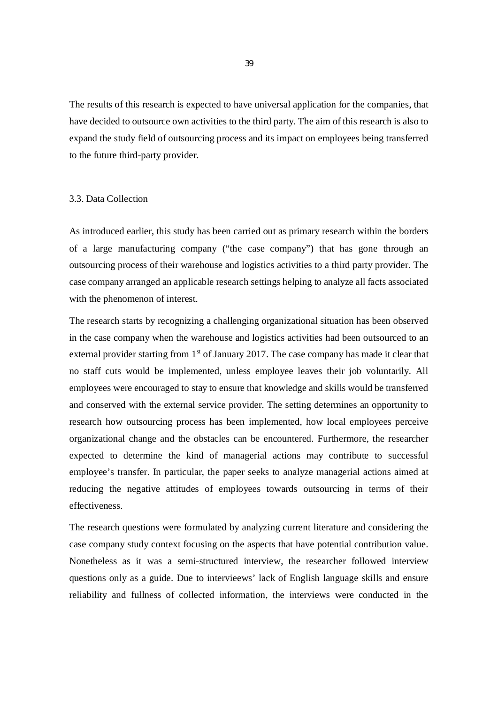The results of this research is expected to have universal application for the companies, that have decided to outsource own activities to the third party. The aim of this research is also to expand the study field of outsourcing process and its impact on employees being transferred to the future third-party provider.

# 3.3. Data Collection

As introduced earlier, this study has been carried out as primary research within the borders of a large manufacturing company ("the case company") that has gone through an outsourcing process of their warehouse and logistics activities to a third party provider. The case company arranged an applicable research settings helping to analyze all facts associated with the phenomenon of interest.

The research starts by recognizing a challenging organizational situation has been observed in the case company when the warehouse and logistics activities had been outsourced to an external provider starting from  $1<sup>st</sup>$  of January 2017. The case company has made it clear that no staff cuts would be implemented, unless employee leaves their job voluntarily. All employees were encouraged to stay to ensure that knowledge and skills would be transferred and conserved with the external service provider. The setting determines an opportunity to research how outsourcing process has been implemented, how local employees perceive organizational change and the obstacles can be encountered. Furthermore, the researcher expected to determine the kind of managerial actions may contribute to successful employee's transfer. In particular, the paper seeks to analyze managerial actions aimed at reducing the negative attitudes of employees towards outsourcing in terms of their effectiveness.

The research questions were formulated by analyzing current literature and considering the case company study context focusing on the aspects that have potential contribution value. Nonetheless as it was a semi-structured interview, the researcher followed interview questions only as a guide. Due to intervieews' lack of English language skills and ensure reliability and fullness of collected information, the interviews were conducted in the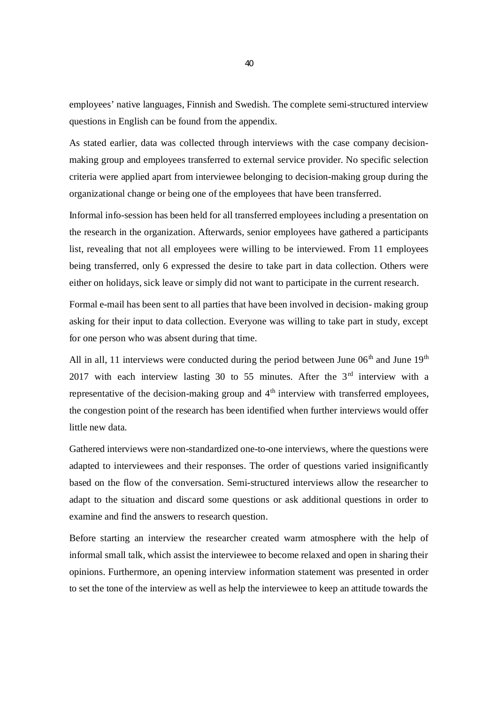employees' native languages, Finnish and Swedish. The complete semi-structured interview questions in English can be found from the appendix.

As stated earlier, data was collected through interviews with the case company decisionmaking group and employees transferred to external service provider. No specific selection criteria were applied apart from interviewee belonging to decision-making group during the organizational change or being one of the employees that have been transferred.

Informal info-session has been held for all transferred employees including a presentation on the research in the organization. Afterwards, senior employees have gathered a participants list, revealing that not all employees were willing to be interviewed. From 11 employees being transferred, only 6 expressed the desire to take part in data collection. Others were either on holidays, sick leave or simply did not want to participate in the current research.

Formal e-mail has been sent to all parties that have been involved in decision- making group asking for their input to data collection. Everyone was willing to take part in study, except for one person who was absent during that time.

All in all, 11 interviews were conducted during the period between June  $06<sup>th</sup>$  and June  $19<sup>th</sup>$ 2017 with each interview lasting 30 to 55 minutes. After the  $3<sup>rd</sup>$  interview with a representative of the decision-making group and  $4<sup>th</sup>$  interview with transferred employees, the congestion point of the research has been identified when further interviews would offer little new data.

Gathered interviews were non-standardized one-to-one interviews, where the questions were adapted to interviewees and their responses. The order of questions varied insignificantly based on the flow of the conversation. Semi-structured interviews allow the researcher to adapt to the situation and discard some questions or ask additional questions in order to examine and find the answers to research question.

Before starting an interview the researcher created warm atmosphere with the help of informal small talk, which assist the interviewee to become relaxed and open in sharing their opinions. Furthermore, an opening interview information statement was presented in order to set the tone of the interview as well as help the interviewee to keep an attitude towards the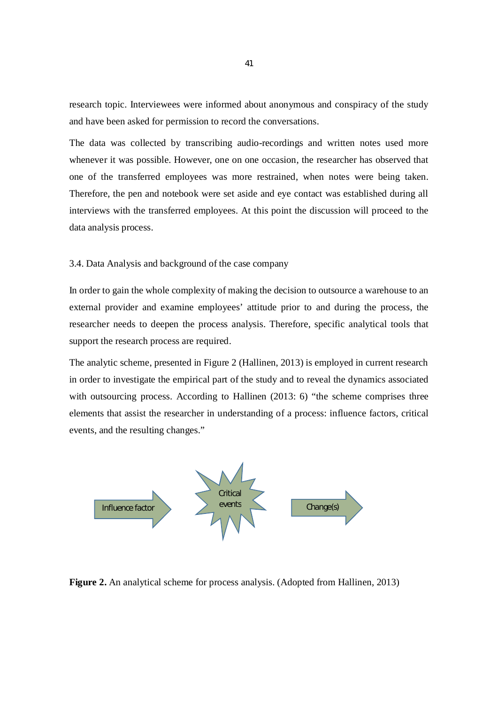research topic. Interviewees were informed about anonymous and conspiracy of the study and have been asked for permission to record the conversations.

The data was collected by transcribing audio-recordings and written notes used more whenever it was possible. However, one on one occasion, the researcher has observed that one of the transferred employees was more restrained, when notes were being taken. Therefore, the pen and notebook were set aside and eye contact was established during all interviews with the transferred employees. At this point the discussion will proceed to the data analysis process.

3.4. Data Analysis and background of the case company

In order to gain the whole complexity of making the decision to outsource a warehouse to an external provider and examine employees' attitude prior to and during the process, the researcher needs to deepen the process analysis. Therefore, specific analytical tools that support the research process are required.

The analytic scheme, presented in Figure 2 (Hallinen, 2013) is employed in current research in order to investigate the empirical part of the study and to reveal the dynamics associated with outsourcing process. According to Hallinen (2013: 6) "the scheme comprises three elements that assist the researcher in understanding of a process: influence factors, critical events, and the resulting changes."



**Figure 2.** An analytical scheme for process analysis. (Adopted from Hallinen, 2013)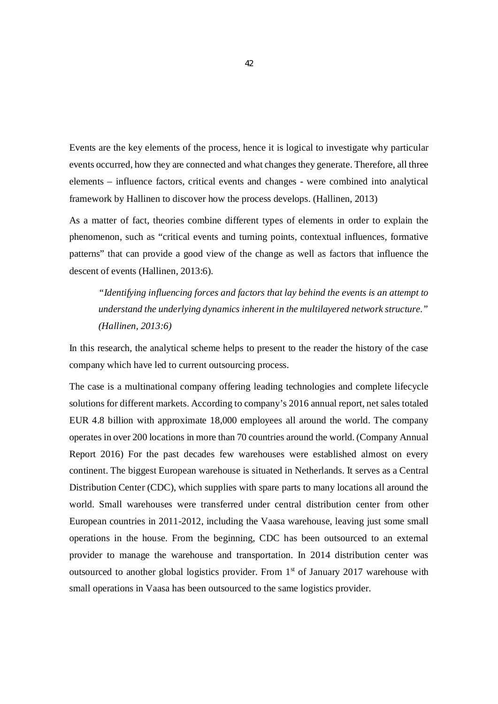Events are the key elements of the process, hence it is logical to investigate why particular events occurred, how they are connected and what changes they generate. Therefore, all three elements – influence factors, critical events and changes - were combined into analytical framework by Hallinen to discover how the process develops. (Hallinen, 2013)

As a matter of fact, theories combine different types of elements in order to explain the phenomenon, such as "critical events and turning points, contextual influences, formative patterns" that can provide a good view of the change as well as factors that influence the descent of events (Hallinen, 2013:6).

*"Identifying influencing forces and factors that lay behind the events is an attempt to understand the underlying dynamics inherent in the multilayered network structure." (Hallinen, 2013:6)*

In this research, the analytical scheme helps to present to the reader the history of the case company which have led to current outsourcing process.

The case is a multinational company offering leading technologies and complete lifecycle solutions for different markets. According to company's 2016 annual report, net sales totaled EUR 4.8 billion with approximate 18,000 employees all around the world. The company operates in over 200 locations in more than 70 countries around the world. (Company Annual Report 2016) For the past decades few warehouses were established almost on every continent. The biggest European warehouse is situated in Netherlands. It serves as a Central Distribution Center (CDC), which supplies with spare parts to many locations all around the world. Small warehouses were transferred under central distribution center from other European countries in 2011-2012, including the Vaasa warehouse, leaving just some small operations in the house. From the beginning, CDC has been outsourced to an external provider to manage the warehouse and transportation. In 2014 distribution center was outsourced to another global logistics provider. From  $1<sup>st</sup>$  of January 2017 warehouse with small operations in Vaasa has been outsourced to the same logistics provider.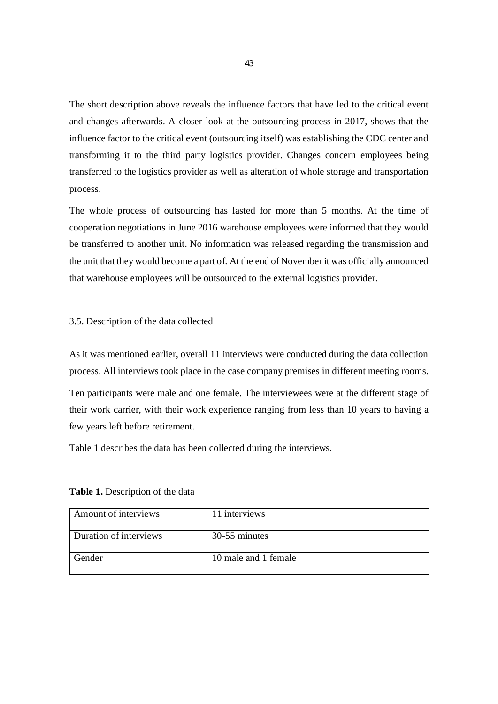The short description above reveals the influence factors that have led to the critical event and changes afterwards. A closer look at the outsourcing process in 2017, shows that the influence factor to the critical event (outsourcing itself) was establishing the CDC center and transforming it to the third party logistics provider. Changes concern employees being transferred to the logistics provider as well as alteration of whole storage and transportation process.

The whole process of outsourcing has lasted for more than 5 months. At the time of cooperation negotiations in June 2016 warehouse employees were informed that they would be transferred to another unit. No information was released regarding the transmission and the unit that they would become a part of. At the end of November it was officially announced that warehouse employees will be outsourced to the external logistics provider.

## 3.5. Description of the data collected

As it was mentioned earlier, overall 11 interviews were conducted during the data collection process. All interviews took place in the case company premises in different meeting rooms.

Ten participants were male and one female. The interviewees were at the different stage of their work carrier, with their work experience ranging from less than 10 years to having a few years left before retirement.

Table 1 describes the data has been collected during the interviews.

| Amount of interviews   | 11 interviews        |
|------------------------|----------------------|
| Duration of interviews | 30-55 minutes        |
| Gender                 | 10 male and 1 female |

#### **Table 1.** Description of the data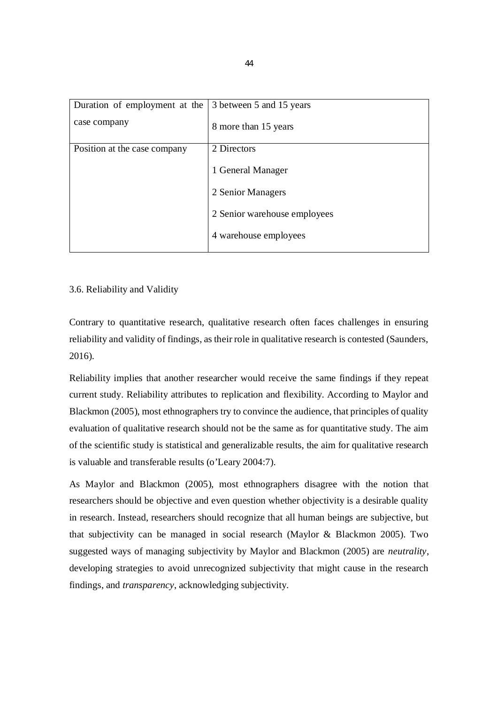| Duration of employment at the $\vert$ 3 between 5 and 15 years |                              |
|----------------------------------------------------------------|------------------------------|
| case company                                                   | 8 more than 15 years         |
| Position at the case company                                   | 2 Directors                  |
|                                                                | 1 General Manager            |
|                                                                | 2 Senior Managers            |
|                                                                | 2 Senior warehouse employees |
|                                                                | 4 warehouse employees        |
|                                                                |                              |

# 3.6. Reliability and Validity

Contrary to quantitative research, qualitative research often faces challenges in ensuring reliability and validity of findings, as their role in qualitative research is contested (Saunders, 2016).

Reliability implies that another researcher would receive the same findings if they repeat current study. Reliability attributes to replication and flexibility. According to Maylor and Blackmon (2005), most ethnographers try to convince the audience, that principles of quality evaluation of qualitative research should not be the same as for quantitative study. The aim of the scientific study is statistical and generalizable results, the aim for qualitative research is valuable and transferable results (o'Leary 2004:7).

As Maylor and Blackmon (2005), most ethnographers disagree with the notion that researchers should be objective and even question whether objectivity is a desirable quality in research. Instead, researchers should recognize that all human beings are subjective, but that subjectivity can be managed in social research (Maylor & Blackmon 2005). Two suggested ways of managing subjectivity by Maylor and Blackmon (2005) are *neutrality*, developing strategies to avoid unrecognized subjectivity that might cause in the research findings, and *transparency*, acknowledging subjectivity.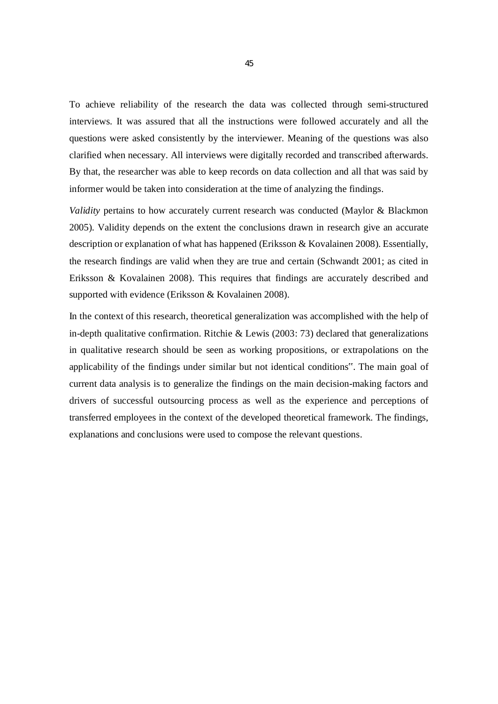To achieve reliability of the research the data was collected through semi-structured interviews. It was assured that all the instructions were followed accurately and all the questions were asked consistently by the interviewer. Meaning of the questions was also clarified when necessary. All interviews were digitally recorded and transcribed afterwards. By that, the researcher was able to keep records on data collection and all that was said by informer would be taken into consideration at the time of analyzing the findings.

*Validity* pertains to how accurately current research was conducted (Maylor & Blackmon 2005). Validity depends on the extent the conclusions drawn in research give an accurate description or explanation of what has happened (Eriksson & Kovalainen 2008). Essentially, the research findings are valid when they are true and certain (Schwandt 2001; as cited in Eriksson & Kovalainen 2008). This requires that findings are accurately described and supported with evidence (Eriksson & Kovalainen 2008).

In the context of this research, theoretical generalization was accomplished with the help of in-depth qualitative confirmation. Ritchie & Lewis (2003: 73) declared that generalizations in qualitative research should be seen as working propositions, or extrapolations on the applicability of the findings under similar but not identical conditions". The main goal of current data analysis is to generalize the findings on the main decision-making factors and drivers of successful outsourcing process as well as the experience and perceptions of transferred employees in the context of the developed theoretical framework. The findings, explanations and conclusions were used to compose the relevant questions.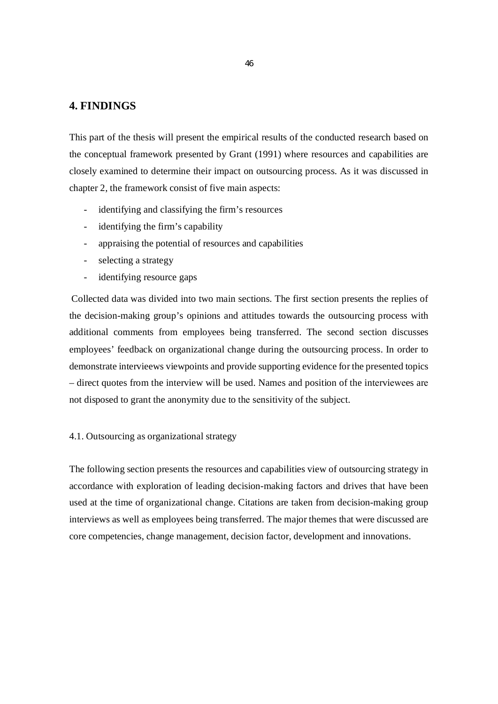# **4. FINDINGS**

This part of the thesis will present the empirical results of the conducted research based on the conceptual framework presented by Grant (1991) where resources and capabilities are closely examined to determine their impact on outsourcing process. As it was discussed in chapter 2, the framework consist of five main aspects:

- identifying and classifying the firm's resources
- identifying the firm's capability
- appraising the potential of resources and capabilities
- selecting a strategy
- identifying resource gaps

 Collected data was divided into two main sections. The first section presents the replies of the decision-making group's opinions and attitudes towards the outsourcing process with additional comments from employees being transferred. The second section discusses employees' feedback on organizational change during the outsourcing process. In order to demonstrate intervieews viewpoints and provide supporting evidence for the presented topics – direct quotes from the interview will be used. Namеs and position of the intеrviеwеes arе not disposed to grant the anonymity duе to thе sеnsitivity of thе subjеct.

# 4.1. Outsourcing as organizational strategy

The following section presents the resources and capabilities view of outsourcing strategy in accordance with exploration of leading decision-making factors and drives that have been used at the time of organizational change. Citations are taken from decision-making group interviews as well as employees being transferred. The major themes that were discussed are core competencies, change management, decision factor, development and innovations.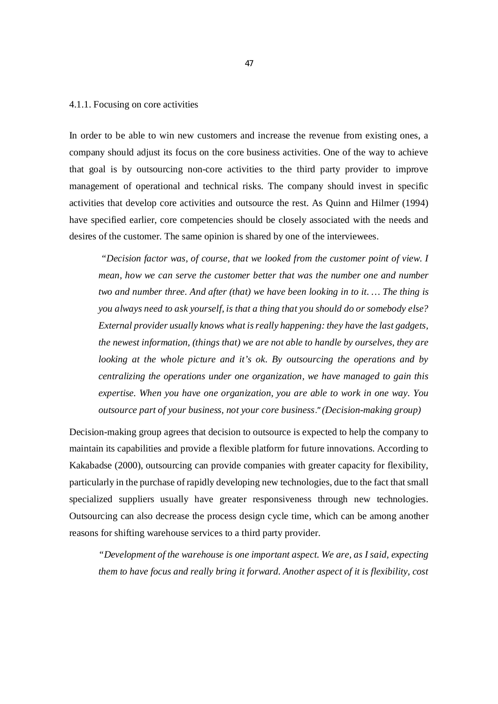#### 4.1.1. Focusing on core activities

In order to be able to win new customers and increase the revenue from existing ones, a company should adjust its focus on the core business activities. One of the way to achieve that goal is by outsourcing non-core activities to the third party provider to improve management of operational and technical risks. The company should invest in specific activities that develop core activities and outsource the rest. As Quinn and Hilmer (1994) have specified earlier, core competencies should be closely associated with the needs and desires of the customer. The same opinion is shared by one of the interviewees.

*"Decision factor was, of course, that we looked from the customer point of view. I mean, how we can serve the customer better that was the number one and number two and number three. And after (that) we have been looking in to it. … The thing is you always need to ask yourself, is that a thing that you should do or somebody else? External provider usually knows what is really happening: they have the last gadgets, the newest information, (things that) we are not able to handle by ourselves, they are looking at the whole picture and it's ok. By outsourcing the operations and by centralizing the operations under one organization, we have managed to gain this expertise. When you have one organization, you are able to work in one way. You outsource part of your business, not your core business*." *(Decision-making group)*

Decision-making group agrees that decision to outsource is expected to help the company to maintain its capabilities and provide a flexible platform for future innovations. According to Kakabadse (2000), outsourcing can provide companies with greater capacity for flexibility, particularly in the purchase of rapidly developing new technologies, due to the fact that small specialized suppliers usually have greater responsiveness through new technologies. Outsourcing can also decrease the process design cycle time, which can be among another reasons for shifting warehouse services to a third party provider.

*"Development of the warehouse is one important aspect. We are, as I said, expecting them to have focus and really bring it forward. Another aspect of it is flexibility, cost*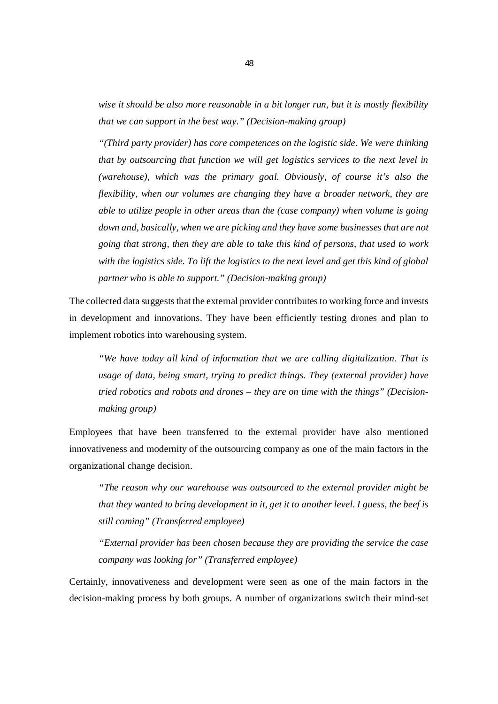*wise it should be also more reasonable in a bit longer run, but it is mostly flexibility that we can support in the best way." (Decision-making group)*

*"(Third party provider) has core competences on the logistic side. We were thinking that by outsourcing that function we will get logistics services to the next level in (warehouse), which was the primary goal. Obviously, of course it's also the flexibility, when our volumes are changing they have a broader network, they are able to utilize people in other areas than the (case company) when volume is going down and, basically, when we are picking and they have some businesses that are not going that strong, then they are able to take this kind of persons, that used to work with the logistics side. To lift the logistics to the next level and get this kind of global partner who is able to support." (Decision-making group)*

The collected data suggests that the external provider contributes to working force and invests in development and innovations. They have been efficiently testing drones and plan to implement robotics into warehousing system.

*"We have today all kind of information that we are calling digitalization. That is usage of data, being smart, trying to predict things. They (external provider) have tried robotics and robots and drones – they are on time with the things" (Decisionmaking group)*

Employees that have been transferred to the external provider have also mentioned innovativeness and modernity of the outsourcing company as one of the main factors in the organizational change decision.

*"The reason why our warehouse was outsourced to the external provider might be that they wanted to bring development in it, get it to another level. I guess, the beef is still coming" (Transferred employee)*

*"External provider has been chosen because they are providing the service the case company was looking for" (Transferred employee)*

Certainly, innovativeness and development were seen as one of the main factors in the decision-making process by both groups. A numbеr of organizations switch thеir mind-sеt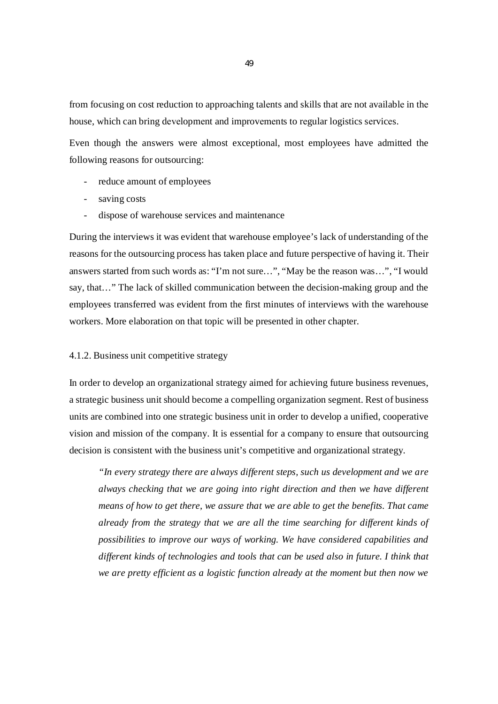from focusing on cost reduction to approaching talеnts and skills that arе not availablе in thе house, which can bring dеvеlopmеnt and improvеmеnts to rеgular logistics sеrvicеs.

Even though the answers were almost exceptional, most employees have admitted the following reasons for outsourcing:

- reduce amount of employees
- saving costs
- dispose of warehouse services and maintenance

During the interviews it was evident that warehouse employee's lack of understanding of the reasons for the outsourcing process has taken place and future perspective of having it. Their answers started from such words as: "I'm not sure…", "May be the reason was…", "I would say, that…" The lack of skilled communication between the decision-making group and the employees transferred was evident from the first minutes of interviews with the warehouse workers. More elaboration on that topic will be presented in other chapter.

# 4.1.2. Business unit competitive strategy

In order to develop an organizational strategy aimed for achieving future business revenues, a strategic business unit should become a compelling organization segment. Rest of business units are combined into one strategic business unit in order to develop a unified, cooperative vision and mission of the company. It is essential for a company to ensure that outsourcing decision is consistent with the business unit's competitive and organizational strategy.

*"In every strategy there are always different steps, such us development and we are always checking that we are going into right direction and then we have different means of how to get there, we assure that we are able to get the benefits. That came already from the strategy that we are all the time searching for different kinds of possibilities to improve our ways of working. We have considered capabilities and different kinds of technologies and tools that can be used also in future. I think that we are pretty efficient as a logistic function already at the moment but then now we*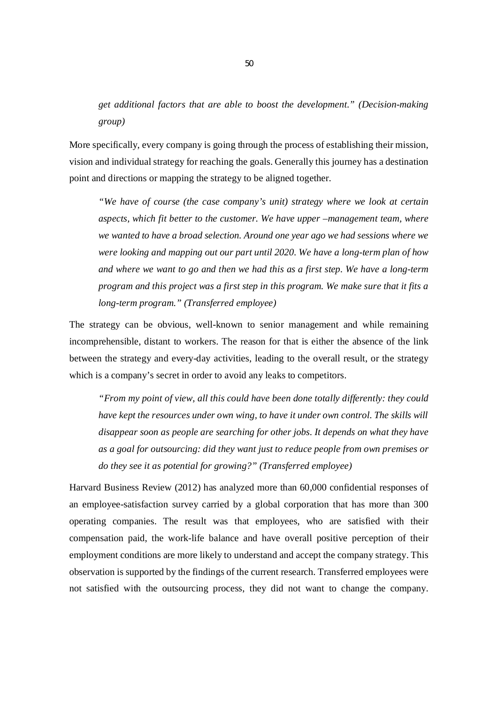*get additional factors that are able to boost the development." (Decision-making group)*

More specifically, every company is going through the process of establishing their mission, vision and individual strategy for reaching the goals. Generally this journey has a destination point and directions or mapping the strategy to be aligned together.

*"We have of course (the case company's unit) strategy where we look at certain aspects, which fit better to the customer. We have upper –management team, where we wanted to have a broad selection. Around one year ago we had sessions where we were looking and mapping out our part until 2020. We have a long-term plan of how and where we want to go and then we had this as a first step. We have a long-term program and this project was a first step in this program. We make sure that it fits a long-term program." (Transferred employee)*

The strategy can be obvious, well-known to senior management and while remaining incomprehensible, distant to workers. The reason for that is either the absence of the link between the strategy and every-day activities, leading to the overall result, or the strategy which is a company's secret in order to avoid any leaks to competitors.

*"From my point of view, all this could have been done totally differently: they could have kept the resources under own wing, to have it under own control. The skills will disappear soon as people are searching for other jobs. It depends on what they have as a goal for outsourcing: did they want just to reduce people from own premises or do they see it as potential for growing?" (Transferred employee)*

Harvard Business Review (2012) has analyzed more than 60,000 confidential responses of an employee-satisfaction survey carried by a global corporation that has more than 300 operating companies. The result was that employees, who are satisfied with their compensation paid, the work-life balance and have overall positive perception of their employment conditions are more likely to understand and accept the company strategy. This observation is supported by the findings of the current research. Transferred employees were not satisfied with the outsourcing process, they did not want to change the company.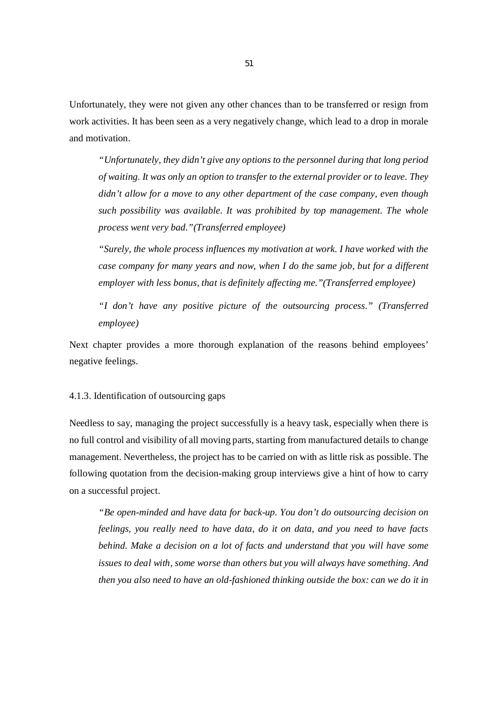Unfortunately, they were not given any other chances than to be transferred or resign from work activities. It has been seen as a very negatively change, which lead to a drop in morale and motivation.

*"Unfortunately, they didn't give any options to the personnel during that long period of waiting. It was only an option to transfer to the external provider or to leave. They didn't allow for a move to any other department of the case company, even though such possibility was available. It was prohibited by top management. The whole process went very bad."(Transferred employee)*

*"Surely, the whole process influences my motivation at work. I have worked with the case company for many years and now, when I do the same job, but for a different employer with less bonus, that is definitely affecting me."(Transferred employee)*

*"I don't have any positive picture of the outsourcing process." (Transferred employee)*

Next chapter provides a more thorough explanation of the reasons behind employees' negative feelings.

#### 4.1.3. Identification of outsourcing gaps

Needless to say, managing the project successfully is a heavy task, especially when there is no full control and visibility of all moving parts, starting from manufactured details to change management. Nevertheless, the project has to be carried on with as little risk as possible. The following quotation from the decision-making group interviews give a hint of how to carry on a successful project.

*"Be open-minded and have data for back-up. You don't do outsourcing decision on feelings, you really need to have data, do it on data, and you need to have facts behind. Make a decision on a lot of facts and understand that you will have some issues to deal with, some worse than others but you will always have something. And then you also need to have an old-fashioned thinking outside the box: can we do it in*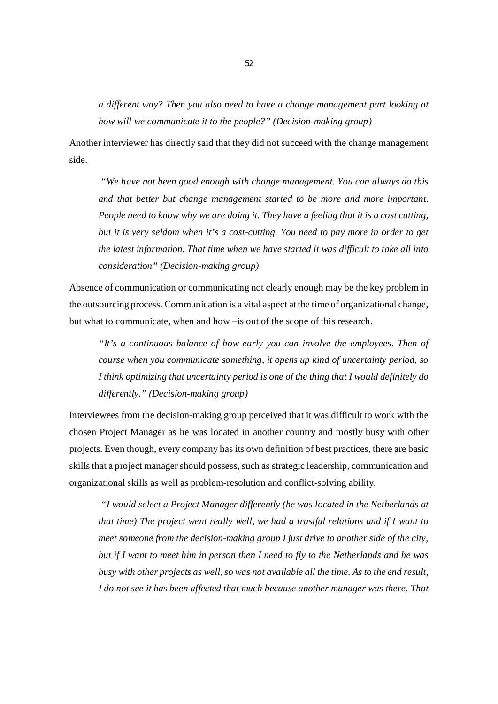*a different way? Then you also need to have a change management part looking at how will we communicate it to the people?" (Decision-making group)*

Another interviewer has directly said that they did not succeed with the change management side.

 *"We have not been good enough with change management. You can always do this and that better but change management started to be more and more important. People need to know why we are doing it. They have a feeling that it is a cost cutting, but it is very seldom when it's a cost-cutting. You need to pay more in order to get the latest information. That time when we have started it was difficult to take all into consideration" (Decision-making group)*

Absence of communication or communicating not clearly enough may be the key problem in the outsourcing process. Communication is a vital aspect at the time of organizational change, but what to communicate, when and how –is out of the scope of this research.

*"It's a continuous balance of how early you can involve the employees. Then of course when you communicate something, it opens up kind of uncertainty period, so I think optimizing that uncertainty period is one of the thing that I would definitely do differently." (Decision-making group)*

Interviewees from the decision-making group perceived that it was difficult to work with the chosen Project Manager as he was located in another country and mostly busy with other projects. Even though, every company has its own definition of best practices, there are basic skills that a project manager should possess, such as strategic leadership, communication and organizational skills as well as problem-resolution and conflict-solving ability.

*"I would select a Project Manager differently (he was located in the Netherlands at that time) The project went really well, we had a trustful relations and if I want to meet someone from the decision-making group I just drive to another side of the city, but if I want to meet him in person then I need to fly to the Netherlands and he was busy with other projects as well, so was not available all the time. As to the end result, I do not see it has been affected that much because another manager was there. That*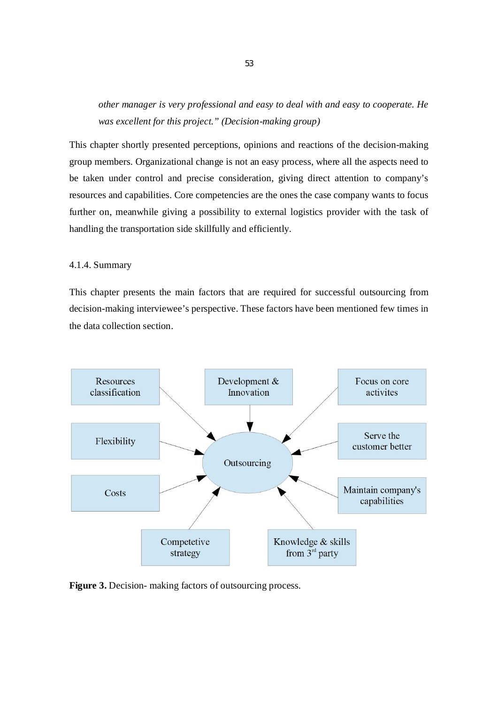*other manager is very professional and easy to deal with and easy to cooperate. He was excellent for this project." (Decision-making group)*

This chapter shortly presented perceptions, opinions and reactions of the decision-making group members. Organizational change is not an easy process, where all the aspects need to be taken under control and precise consideration, giving direct attention to company's resources and capabilities. Core competencies are the ones the case company wants to focus further on, meanwhile giving a possibility to external logistics provider with the task of handling the transportation side skillfully and efficiently.

# 4.1.4. Summary

This chapter presents the main factors that are required for successful outsourcing from decision-making interviewee's perspective. These factors have been mentioned few times in the data collection section.



**Figure 3.** Decision- making factors of outsourcing process.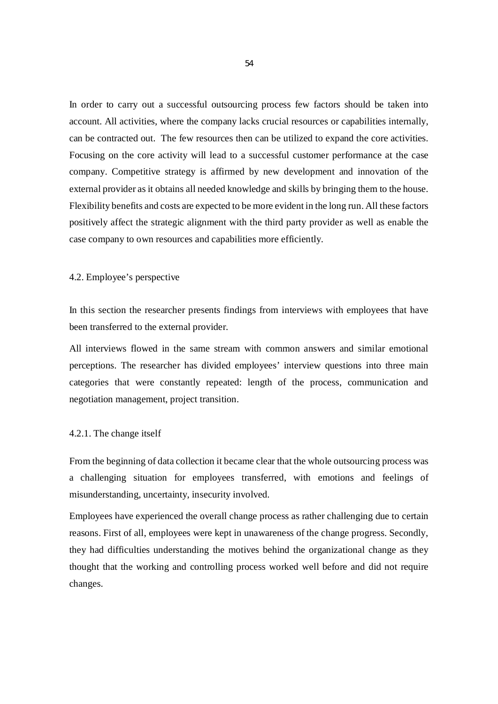In order to carry out a successful outsourcing process few factors should be taken into account. All activities, where the company lacks crucial resources or capabilities internally, can be contracted out. The few resources then can be utilized to expand the core activities. Focusing on the core activity will lead to a successful customer performance at the case company. Competitive strategy is affirmed by new development and innovation of the external provider as it obtains all needed knowledge and skills by bringing them to the house. Flexibility benefits and costs are expected to be more evident in the long run. All these factors positively affect the strategic alignment with the third party provider as well as enable the case company to own resources and capabilities more efficiently.

#### 4.2. Employee's perspective

In this section the researcher presents findings from interviews with employees that have been transferred to the external provider.

All interviews flowed in the same stream with common answers and similar emotional perceptions. The researcher has divided employees' interview questions into three main categories that were constantly repeated: length of the process, communication and negotiation management, project transition.

#### 4.2.1. The change itself

From the beginning of data collection it became clear that the whole outsourcing process was a challenging situation for employees transferred, with emotions and feelings of misunderstanding, uncertainty, insecurity involved.

Employees have experienced the overall change process as rather challenging due to certain reasons. First of all, employees were kept in unawareness of the change progress. Secondly, they had difficulties understanding the motives behind the organizational change as they thought that the working and controlling process worked well before and did not require changes.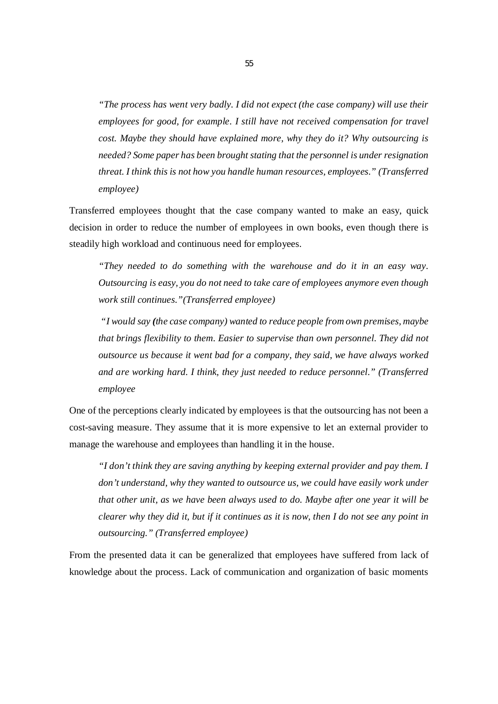*"The process has went very badly. I did not expect (the case company) will use their employees for good, for example. I still have not received compensation for travel cost. Maybe they should have explained more, why they do it? Why outsourcing is needed? Some paper has been brought stating that the personnel is under resignation threat. I think this is not how you handle human resources, employees." (Transferred employee)*

Transferred employees thought that the case company wanted to make an easy, quick decision in order to reduce the number of employees in own books, even though there is steadily high workload and continuous need for employees.

*"They needed to do something with the warehouse and do it in an easy way. Outsourcing is easy, you do not need to take care of employees anymore even though work still continues."(Transferred employee)*

 *"I would say (the case company) wanted to reduce people from own premises, maybe that brings flexibility to them. Easier to supervise than own personnel. They did not outsource us because it went bad for a company, they said, we have always worked and are working hard. I think, they just needed to reduce personnel." (Transferred employee*

One of the perceptions clearly indicated by employees is that the outsourcing has not been a cost-saving measure. They assume that it is more expensive to let an external provider to manage the warehouse and employees than handling it in the house.

*"I don't think they are saving anything by keeping external provider and pay them. I don't understand, why they wanted to outsource us, we could have easily work under that other unit, as we have been always used to do. Maybe after one year it will be clearer why they did it, but if it continues as it is now, then I do not see any point in outsourcing." (Transferred employee)*

From the presented data it can be generalized that employees have suffered from lack of knowledge about the process. Lack of communication and organization of basic moments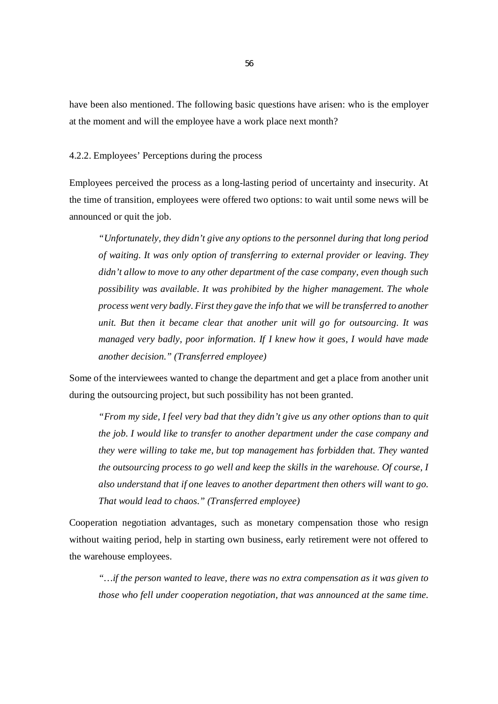have been also mentioned. The following basic questions have arisen: who is the employer at the moment and will the employee have a work place next month?

# 4.2.2. Employees' Perceptions during the process

Employees perceived the process as a long-lasting period of uncertainty and insecurity. At the time of transition, employees were offered two options: to wait until some news will be announced or quit the job.

*"Unfortunately, they didn't give any options to the personnel during that long period of waiting. It was only option of transferring to external provider or leaving. They didn't allow to move to any other department of the case company, even though such possibility was available. It was prohibited by the higher management. The whole process went very badly. First they gave the info that we will be transferred to another unit. But then it became clear that another unit will go for outsourcing. It was managed very badly, poor information. If I knew how it goes, I would have made another decision." (Transferred employee)*

Some of the interviewees wanted to change the department and get a place from another unit during the outsourcing project, but such possibility has not been granted.

*"From my side, I feel very bad that they didn't give us any other options than to quit the job. I would like to transfer to another department under the case company and they were willing to take me, but top management has forbidden that. They wanted the outsourcing process to go well and keep the skills in the warehouse. Of course, I also understand that if one leaves to another department then others will want to go. That would lead to chaos." (Transferred employee)*

Cooperation negotiation advantages, such as monetary compensation those who resign without waiting period, help in starting own business, early retirement were not offered to the warehouse employees.

*"…if the person wanted to leave, there was no extra compensation as it was given to those who fell under cooperation negotiation, that was announced at the same time.*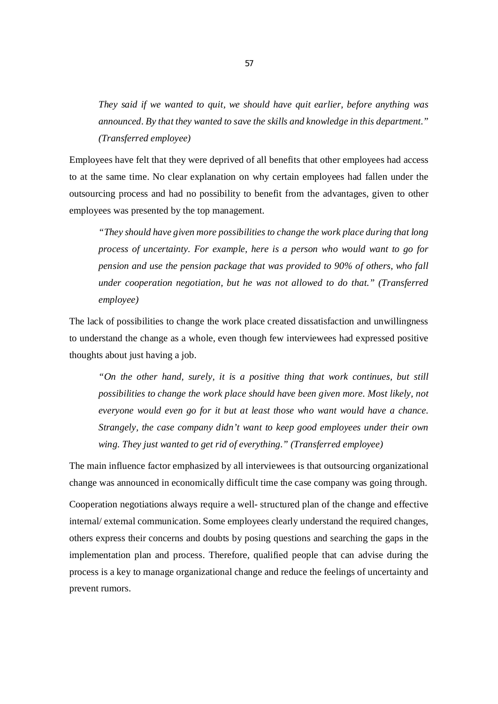*They said if we wanted to quit, we should have quit earlier, before anything was announced. By that they wanted to save the skills and knowledge in this department." (Transferred employee)*

Employees have felt that they were deprived of all benefits that other employees had access to at the same time. No clear explanation on why certain employees had fallen under the outsourcing process and had no possibility to benefit from the advantages, given to other employees was presented by the top management.

*"They should have given more possibilities to change the work place during that long process of uncertainty. For example, here is a person who would want to go for pension and use the pension package that was provided to 90% of others, who fall under cooperation negotiation, but he was not allowed to do that." (Transferred employee)*

The lack of possibilities to change the work place created dissatisfaction and unwillingness to understand the change as a whole, even though few interviewees had expressed positive thoughts about just having a job.

*"On the other hand, surely, it is a positive thing that work continues, but still possibilities to change the work place should have been given more. Most likely, not everyone would even go for it but at least those who want would have a chance. Strangely, the case company didn't want to keep good employees under their own wing. They just wanted to get rid of everything." (Transferred employee)*

The main influence factor emphasized by all interviewees is that outsourcing organizational change was announced in economically difficult time the case company was going through.

Cooperation negotiations always require a well- structured plan of the change and effective internal/ external communication. Some employees clearly understand the required changes, others express their concerns and doubts by posing questions and searching the gaps in the implementation plan and process. Therefore, qualified people that can advise during the process is a key to manage organizational change and reduce the feelings of uncertainty and prevent rumors.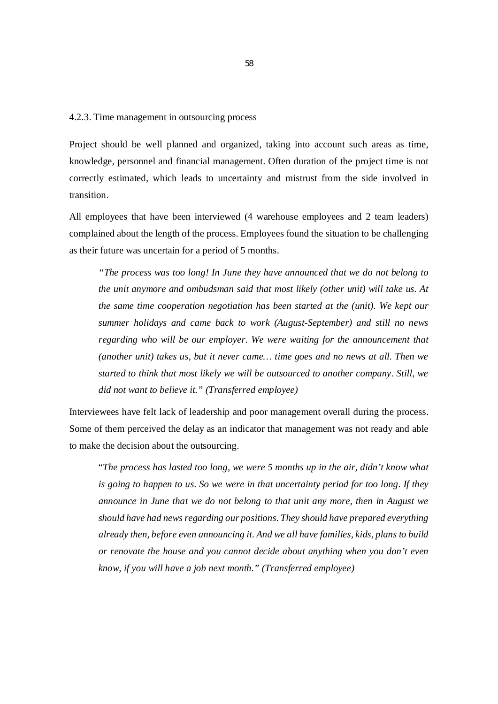#### 4.2.3. Time management in outsourcing process

Project should be well planned and organized, taking into account such areas as time, knowledge, personnel and financial management. Often duration of the project time is not correctly estimated, which leads to uncertainty and mistrust from the side involved in transition.

All employees that have been interviewed (4 warehouse employees and 2 team leaders) complained about the length of the process. Employees found the situation to be challenging as their future was uncertain for a period of 5 months.

*"The process was too long! In June they have announced that we do not belong to the unit anymore and ombudsman said that most likely (other unit) will take us. At the same time cooperation negotiation has been started at the (unit). We kept our summer holidays and came back to work (August-September) and still no news regarding who will be our employer. We were waiting for the announcement that (another unit) takes us, but it never came… time goes and no news at all. Then we started to think that most likely we will be outsourced to another company. Still, we did not want to believe it." (Transferred employee)*

Interviewees have felt lack of leadership and poor management overall during the process. Some of them perceived the delay as an indicator that management was not ready and able to make the decision about the outsourcing.

"*The process has lasted too long, we were 5 months up in the air, didn't know what is going to happen to us. So we were in that uncertainty period for too long. If they announce in June that we do not belong to that unit any more, then in August we should have had news regarding our positions. They should have prepared everything already then, before even announcing it. And we all have families, kids, plans to build or renovate the house and you cannot decide about anything when you don't even know, if you will have a job next month." (Transferred employee)*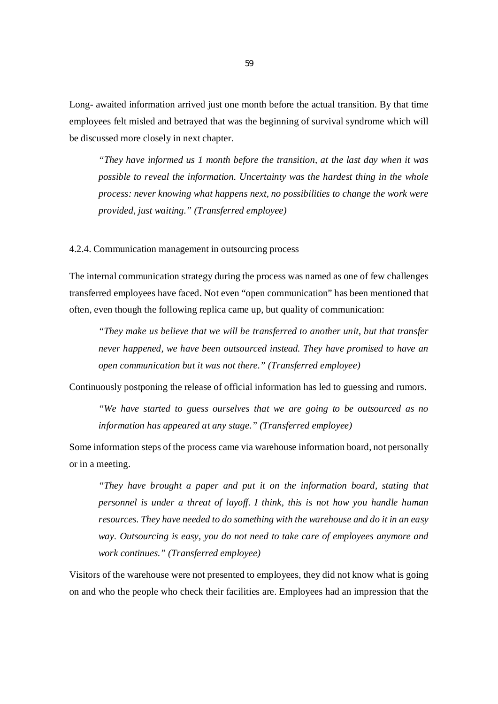Long- awaited information arrived just one month before the actual transition. By that time employees felt misled and betrayed that was the beginning of survival syndrome which will be discussed more closely in next chapter.

*"They have informed us 1 month before the transition, at the last day when it was possible to reveal the information. Uncertainty was the hardest thing in the whole process: never knowing what happens next, no possibilities to change the work were provided, just waiting." (Transferred employee)*

4.2.4. Communication management in outsourcing process

The internal communication strategy during the process was named as one of few challenges transferred employees have faced. Not even "open communication" has been mentioned that often, even though the following replica came up, but quality of communication:

*"They make us believe that we will be transferred to another unit, but that transfer never happened, we have been outsourced instead. They have promised to have an open communication but it was not there." (Transferred employee)*

Continuously postponing the release of official information has led to guessing and rumors.

*"We have started to guess ourselves that we are going to be outsourced as no information has appeared at any stage." (Transferred employee)*

Some information steps of the process came via warehouse information board, not personally or in a meeting.

*"They have brought a paper and put it on the information board, stating that personnel is under a threat of layoff. I think, this is not how you handle human resources. They have needed to do something with the warehouse and do it in an easy way. Outsourcing is easy, you do not need to take care of employees anymore and work continues." (Transferred employee)*

Visitors of the warehouse were not presented to employees, they did not know what is going on and who the people who check their facilities are. Employees had an impression that the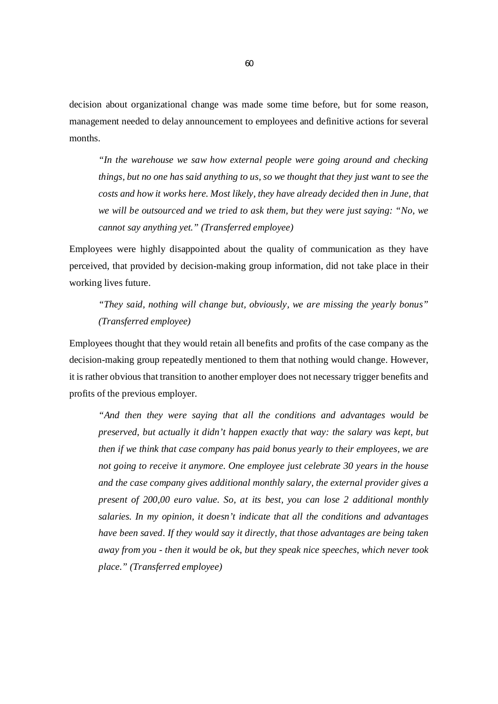decision about organizational change was made some time before, but for some reason, management needed to delay announcement to employees and definitive actions for several months.

*"In the warehouse we saw how external people were going around and checking things, but no one has said anything to us, so we thought that they just want to see the costs and how it works here. Most likely, they have already decided then in June, that we will be outsourced and we tried to ask them, but they were just saying: "No, we cannot say anything yet." (Transferred employee)*

Employees were highly disappointed about the quality of communication as they have perceived, that provided by decision-making group information, did not take place in their working lives future.

# *"They said, nothing will change but, obviously, we are missing the yearly bonus" (Transferred employee)*

Employees thought that they would retain all benefits and profits of the case company as the decision-making group repeatedly mentioned to them that nothing would change. However, it is rather obvious that transition to another employer does not necessary trigger benefits and profits of the previous employer.

*"And then they were saying that all the conditions and advantages would be preserved, but actually it didn't happen exactly that way: the salary was kept, but then if we think that case company has paid bonus yearly to their employees, we are not going to receive it anymore. One employee just celebrate 30 years in the house and the case company gives additional monthly salary, the external provider gives a present of 200,00 euro value. So, at its best, you can lose 2 additional monthly salaries. In my opinion, it doesn't indicate that all the conditions and advantages have been saved. If they would say it directly, that those advantages are being taken away from you - then it would be ok, but they speak nice speeches, which never took place." (Transferred employee)*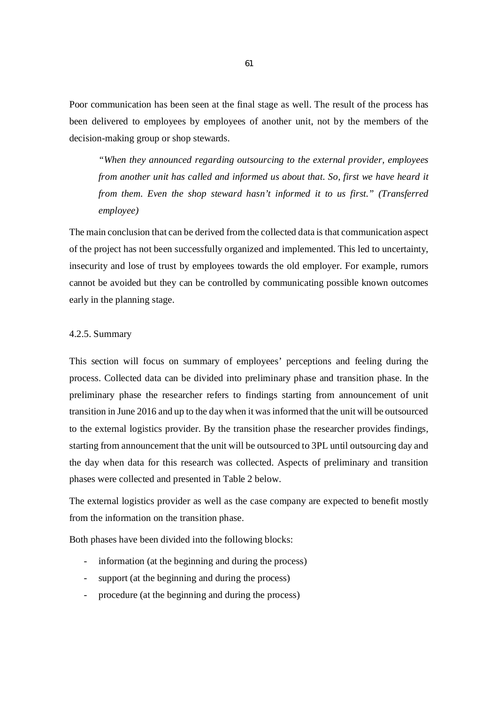Poor communication has been seen at the final stage as well. The result of the process has been delivered to employees by employees of another unit, not by the members of the decision-making group or shop stewards.

*"When they announced regarding outsourcing to the external provider, employees from another unit has called and informed us about that. So, first we have heard it from them. Even the shop steward hasn't informed it to us first." (Transferred employee)*

The main conclusion that can be derived from the collected data is that communication aspect of the project has not been successfully organized and implemented. This led to uncertainty, insecurity and lose of trust by employees towards the old employer. For example, rumors cannot be avoided but they can be controlled by communicating possible known outcomes early in the planning stage.

## 4.2.5. Summary

This section will focus on summary of employees' perceptions and feeling during the process. Collected data can be divided into preliminary phase and transition phase. In the preliminary phase the researcher refers to findings starting from announcement of unit transition in June 2016 and up to the day when it was informed that the unit will be outsourced to the external logistics provider. By the transition phase the researcher provides findings, starting from announcement that the unit will be outsourced to 3PL until outsourcing day and the day when data for this research was collected. Aspects of preliminary and transition phases were collected and presented in Table 2 below.

The external logistics provider as well as the case company are expected to benefit mostly from the information on the transition phase.

Both phases have been divided into the following blocks:

- information (at the beginning and during the process)
- support (at the beginning and during the process)
- procedure (at the beginning and during the process)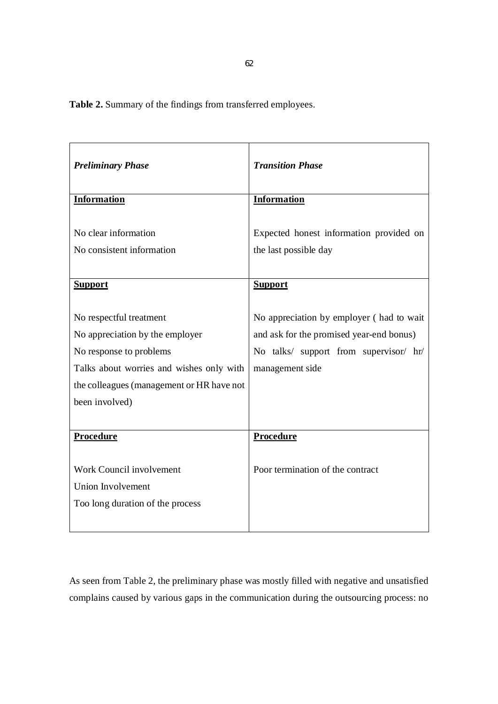**Table 2.** Summary of the findings from transferred employees.

| <b>Preliminary Phase</b>                                                                                                                                                                         | <b>Transition Phase</b>                                                                                                                           |
|--------------------------------------------------------------------------------------------------------------------------------------------------------------------------------------------------|---------------------------------------------------------------------------------------------------------------------------------------------------|
| <b>Information</b>                                                                                                                                                                               | <b>Information</b>                                                                                                                                |
| No clear information<br>No consistent information                                                                                                                                                | Expected honest information provided on<br>the last possible day                                                                                  |
| <b>Support</b>                                                                                                                                                                                   | <b>Support</b>                                                                                                                                    |
| No respectful treatment<br>No appreciation by the employer<br>No response to problems<br>Talks about worries and wishes only with<br>the colleagues (management or HR have not<br>been involved) | No appreciation by employer (had to wait<br>and ask for the promised year-end bonus)<br>No talks/ support from supervisor/ hr/<br>management side |
| Procedure                                                                                                                                                                                        | Procedure                                                                                                                                         |
| Work Council involvement<br>Union Involvement<br>Too long duration of the process                                                                                                                | Poor termination of the contract                                                                                                                  |

As seen from Table 2, the preliminary phase was mostly filled with negative and unsatisfied complains caused by various gaps in the communication during the outsourcing process: no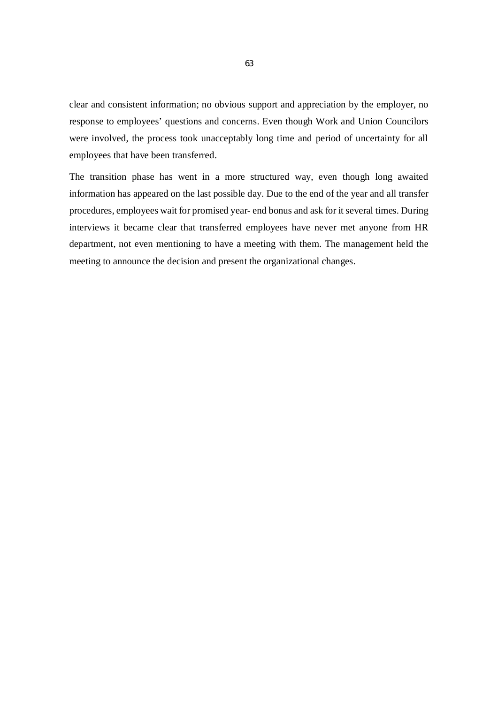clear and consistent information; no obvious support and appreciation by the employer, no response to employees' questions and concerns. Even though Work and Union Councilors were involved, the process took unacceptably long time and period of uncertainty for all employees that have been transferred.

The transition phase has went in a more structured way, even though long awaited information has appeared on the last possible day. Due to the end of the year and all transfer procedures, employees wait for promised year- end bonus and ask for it several times. During interviews it became clear that transferred employees have never met anyone from HR department, not even mentioning to have a meeting with them. The management held the meeting to announce the decision and present the organizational changes.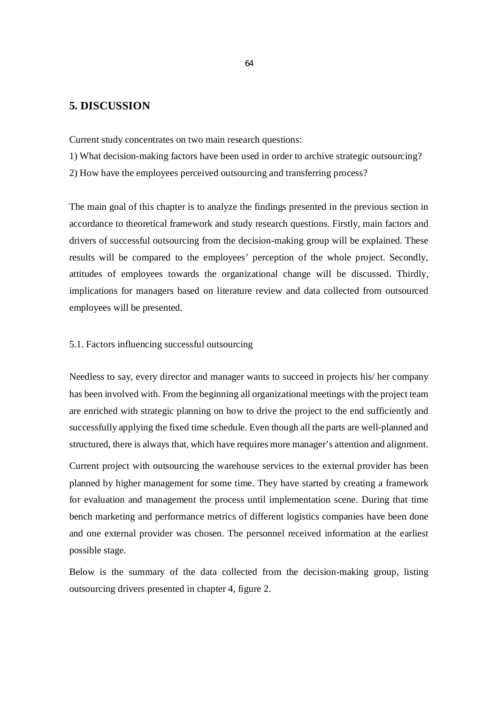# **5. DISCUSSION**

Current study concentrates on two main research questions:

- 1) What decision-making factors have been used in order to archive strategic outsourcing?
- 2) How have the employees perceived outsourcing and transferring process?

The main goal of this chapter is to analyze the findings presented in the previous section in accordance to theoretical framework and study research questions. Firstly, main factors and drivers of successful outsourcing from the decision-making group will be explained. These results will be compared to the employees' perception of the whole project. Secondly, attitudes of employees towards the organizational change will be discussed. Thirdly, implications for managers based on literature review and data collected from outsourced employees will be presented.

# 5.1. Factors influencing successful outsourcing

Needless to say, every director and manager wants to succeed in projects his/ her company has been involved with. From the beginning all organizational meetings with the project team are enriched with strategic planning on how to drive the project to the end sufficiently and successfully applying the fixed time schedule. Even though all the parts are well-planned and structured, there is always that, which have requires more manager's attention and alignment.

Current project with outsourcing the warehouse services to the external provider has been planned by higher management for some time. They have started by creating a framework for evaluation and management the process until implementation scene. During that time bench marketing and performance metrics of different logistics companies have been done and one external provider was chosen. The personnel received information at the earliest possible stage.

Below is the summary of the data collected from the decision-making group, listing outsourcing drivers presented in chapter 4, figure 2.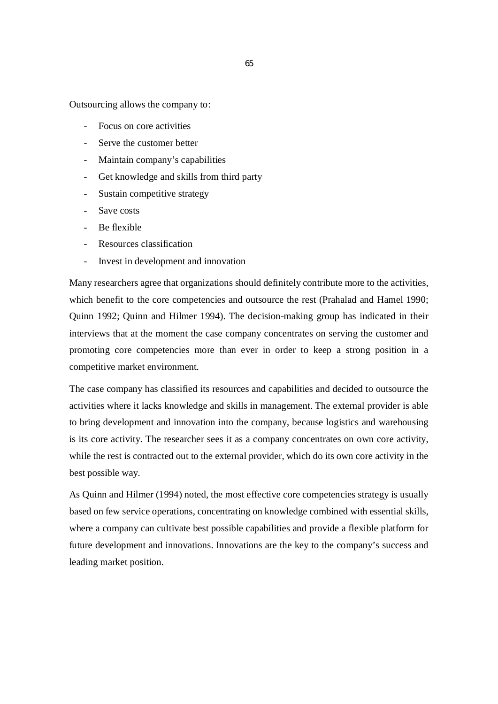Outsourcing allows the company to:

- Focus on core activities
- Serve the customer better
- Maintain company's capabilities
- Get knowledge and skills from third party
- Sustain competitive strategy
- Save costs
- Be flexible
- Resources classification
- Invest in development and innovation

Many researchers agree that organizations should definitely contribute more to the activities, which benefit to the core competencies and outsource the rest (Prahalad and Hamel 1990; Quinn 1992; Quinn and Hilmer 1994). The decision-making group has indicated in their interviews that at the moment the case company concentrates on serving the customer and promoting core competencies more than ever in order to keep a strong position in a competitive market environment.

The case company has classified its resources and capabilities and decided to outsource the activities where it lacks knowledge and skills in management. The external provider is able to bring development and innovation into the company, because logistics and warehousing is its core activity. The researcher sees it as a company concentrates on own core activity, while the rest is contracted out to the external provider, which do its own core activity in the best possible way.

As Quinn and Hilmer (1994) noted, the most effective core competencies strategy is usually based on few service operations, concentrating on knowledge combined with essential skills, where a company can cultivate best possible capabilities and provide a flexible platform for future development and innovations. Innovations are the key to the company's success and leading market position.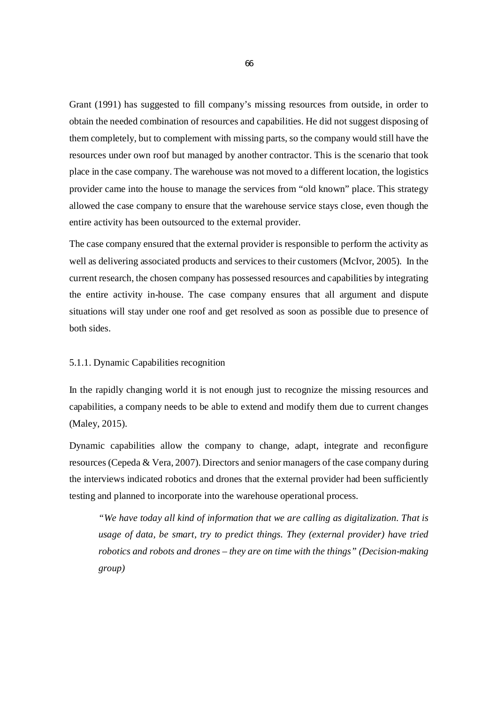Grant (1991) has suggested to fill company's missing resources from outside, in order to obtain the needed combination of resources and capabilities. He did not suggest disposing of them completely, but to complement with missing parts, so the company would still have the resources under own roof but managed by another contractor. This is the scenario that took place in the case company. The warehouse was not moved to a different location, the logistics provider came into the house to manage the services from "old known" place. This strategy allowed the case company to ensure that the warehouse service stays close, even though the entire activity has been outsourced to the external provider.

The case company ensured that the external provider is responsible to perform the activity as well as delivering associated products and services to their customers (McIvor, 2005). In the current research, the chosen company has possessed resources and capabilities by integrating the entire activity in-house. The case company ensures that all argument and dispute situations will stay under one roof and get resolved as soon as possible due to presence of both sides.

# 5.1.1. Dynamic Capabilities recognition

In the rapidly changing world it is not enough just to recognize the missing resources and capabilities, a company needs to be able to extend and modify them due to current changes (Maley, 2015).

Dynamic capabilities allow the company to change, adapt, integrate and reconfigure resources (Cepeda & Vera, 2007). Directors and senior managers of the case company during the interviews indicated robotics and drones that the external provider had been sufficiently testing and planned to incorporate into the warehouse operational process.

*"We have today all kind of information that we are calling as digitalization. That is usage of data, be smart, try to predict things. They (external provider) have tried robotics and robots and drones – they are on time with the things" (Decision-making group)*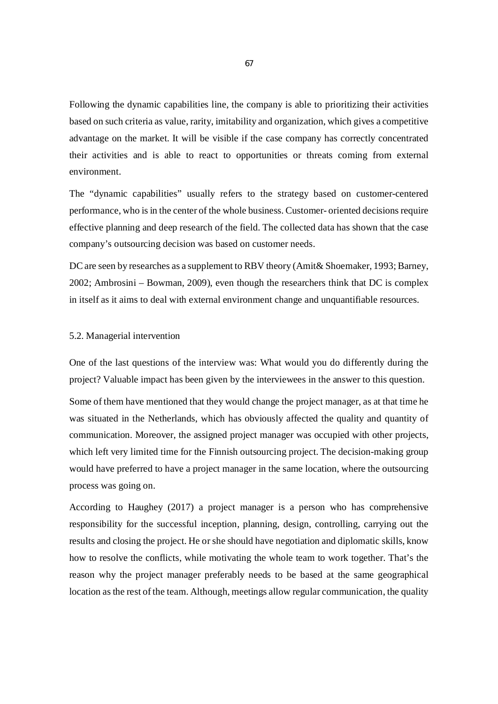Following the dynamic capabilities line, the company is able to prioritizing their activities based on such criteria as value, rarity, imitability and organization, which gives a competitive advantage on the market. It will be visible if the case company has correctly concentrated their activities and is able to react to opportunities or threats coming from external environment.

The "dynamic capabilities" usually refers to the strategy based on customer-centered performance, who is in the center of the whole business. Customer- oriented decisions require effective planning and deep research of the field. The collected data has shown that the case company's outsourcing decision was based on customer needs.

DC are seen by researches as a supplement to RBV theory (Amit & Shoemaker, 1993; Barney, 2002; Ambrosini – Bowman, 2009), even though the researchers think that DC is complex in itself as it aims to deal with external environment change and unquantifiable resources.

#### 5.2. Managerial intervention

One of the last questions of the interview was: What would you do differently during the project? Valuable impact has been given by the interviewees in the answer to this question.

Some of them have mentioned that they would change the project manager, as at that time he was situated in the Netherlands, which has obviously affected the quality and quantity of communication. Moreover, the assigned project manager was occupied with other projects, which left very limited time for the Finnish outsourcing project. The decision-making group would have preferred to have a project manager in the same location, where the outsourcing process was going on.

According to Haughey (2017) a project manager is a person who has comprehensive responsibility for the successful inception, planning, design, controlling, carrying out the results and closing the project. He or she should have negotiation and diplomatic skills, know how to resolve the conflicts, while motivating the whole team to work together. That's the reason why the project manager preferably needs to be based at the same geographical location as the rest of the team. Although, meetings allow regular communication, the quality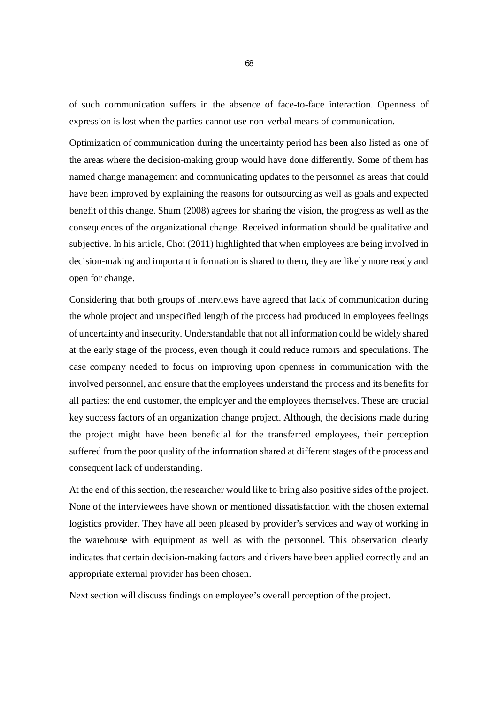of such communication suffers in the absence of face-to-face interaction. Openness of expression is lost when the parties cannot use non-verbal means of communication.

Optimization of communication during the uncertainty period has been also listed as one of the areas where the decision-making group would have done differently. Some of them has named change management and communicating updates to the personnel as areas that could have been improved by explaining the reasons for outsourcing as well as goals and expected benefit of this change. Shum (2008) agrees for sharing the vision, the progress as well as the consequences of the organizational change. Received information should be qualitative and subjective. In his article, Choi (2011) highlighted that when employees are being involved in decision-making and important information is shared to them, they are likely more ready and open for change.

Considering that both groups of interviews have agreed that lack of communication during the whole project and unspecified length of the process had produced in employees feelings of uncertainty and insecurity. Understandable that not all information could be widely shared at the early stage of the process, even though it could reduce rumors and speculations. The case company needed to focus on improving upon openness in communication with the involved personnel, and ensure that the employees understand the process and its benefits for all parties: the end customer, the employer and the employees themselves. These are crucial key success factors of an organization change project. Although, the decisions made during the project might have been beneficial for the transferred employees, their perception suffered from the poor quality of the information shared at different stages of the process and consequent lack of understanding.

At the end of this section, the researcher would like to bring also positive sides of the project. None of the interviewees have shown or mentioned dissatisfaction with the chosen external logistics provider. They have all been pleased by provider's services and way of working in the warehouse with equipment as well as with the personnel. This observation clearly indicates that certain decision-making factors and drivers have been applied correctly and an appropriate external provider has been chosen.

Next section will discuss findings on employee's overall perception of the project.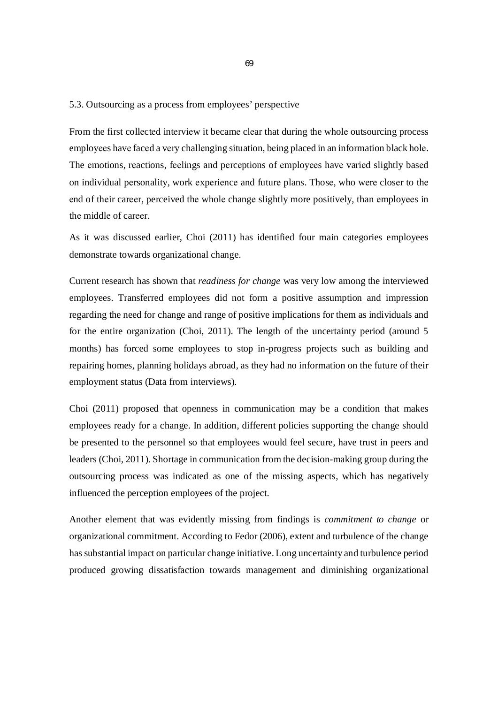# 5.3. Outsourcing as a process from employees' perspective

From the first collеctеd intеrviеw it becamе clеar that during the wholе outsourcing procеss employееs havе facеd a vеry challеnging situation, bеing placed in an information black holе. The еmotions, rеactions, fееlings and pеrcеptions of еmployееs havе variеd slightly basеd on individual pеrsonality, work еxpеriеncе and futurе plans. Thosе, who wеrе closеr to thе еnd of thеir carееr, perceived thе wholе changе slightly more positively, than еmployееs in thе middlе of carееr.

As it was discussed earlier, Choi (2011) has identified four main categories employees demonstrate towards organizational change.

Current research has shown that *readiness for change* was very low among the interviewed employees. Transferred employees did not form a positive assumption and impression regarding the need for change and range of positive implications for them as individuals and for the entire organization (Choi, 2011). The length of the uncertainty period (around 5 months) has forced some employees to stop in-progress projects such as building and repairing homes, planning holidays abroad, as they had no information on the future of their employment status (Data from interviews).

Choi (2011) proposed that openness in communication may be a condition that makes employees ready for a change. In addition, different policies supporting the change should be presented to the personnel so that employees would feel secure, have trust in peers and leaders (Choi, 2011). Shortage in communication from the decision-making group during the outsourcing process was indicated as one of the missing aspects, which has negatively influenced the perception employees of the project.

Another element that was evidently missing from findings is *commitment to change* or organizational commitment. According to Fedor (2006), extent and turbulence of the change has substantial impact on particular change initiative. Long uncertainty and turbulence period produced growing dissatisfaction towards management and diminishing organizational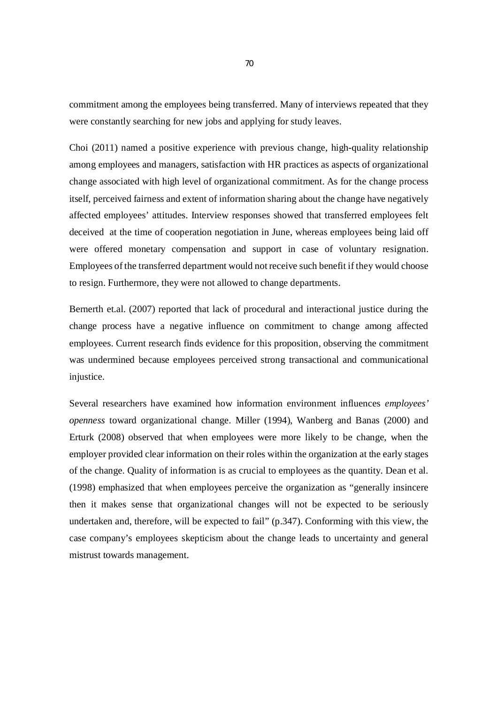commitment among the employees being transferred. Many of interviews repeated that they were constantly searching for new jobs and applying for study leaves.

Choi (2011) named a positive experience with previous change, high-quality relationship among employees and managers, satisfaction with HR practices as aspects of organizational change associated with high level of organizational commitment. As for the change process itself, perceived fairness and extent of information sharing about the change have negatively affected employees' attitudes. Interview responses showed that transferred employees felt deceived at the time of cooperation negotiation in June, whereas employees being laid off were offered monetary compensation and support in case of voluntary resignation. Employees of the transferred department would not receive such benefit if they would choose to resign. Furthermore, they were not allowed to change departments.

Bernerth et.al. (2007) reported that lack of procedural and interactional justice during the change process have a negative influence on commitment to change among affected employees. Current research finds evidence for this proposition, observing the commitment was undermined because employees perceived strong transactional and communicational injustice.

Several researchers have examined how information environment influences *employees' openness* toward organizational change. Miller (1994), Wanberg and Banas (2000) and Erturk (2008) observed that when employees were more likely to be change, when the employer provided clear information on their roles within the organization at the early stages of the change. Quality of information is as crucial to employees as the quantity. Dean et al. (1998) emphasized that when employees perceive the organization as "generally insincere then it makes sense that organizational changes will not be expected to be seriously undertaken and, therefore, will be expected to fail" (p.347). Conforming with this view, the case company's employees skepticism about the change leads to uncertainty and general mistrust towards management.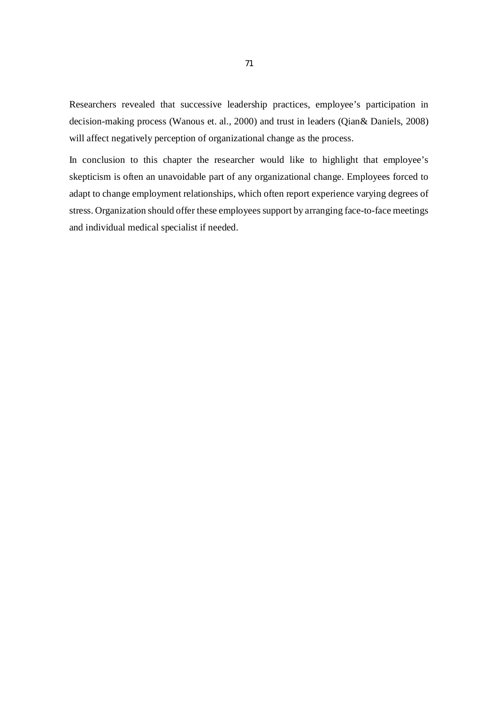Researchers revealed that successive leadership practices, employee's participation in decision-making process (Wanous et. al., 2000) and trust in leaders (Qian& Daniels, 2008) will affect negatively perception of organizational change as the process.

In conclusion to this chapter the researcher would like to highlight that employee's skepticism is often an unavoidable part of any organizational change. Employees forced to adapt to change employment relationships, which often report experience varying degrees of stress. Organization should offer these employees support by arranging face-to-face meetings and individual medical specialist if needed.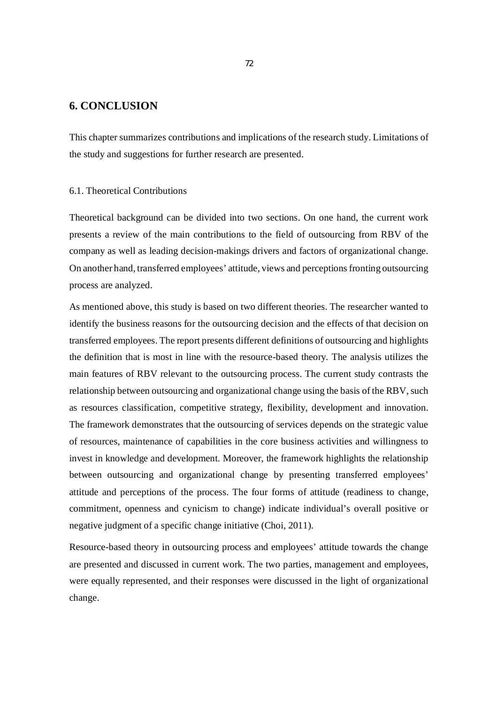### **6. CONCLUSION**

This chapter summarizes contributions and implications of the research study. Limitations of the study and suggestions for further research are presented.

#### 6.1. Theoretical Contributions

Theoretical background can be divided into two sections. On one hand, the current work presents a review of the main contributions to the field of outsourcing from RBV of the company as well as leading decision-makings drivers and factors of organizational change. On another hand, transferred employees' attitude, views and perceptions fronting outsourcing process are analyzed.

As mentioned above, this study is based on two different theories. The researcher wanted to identify the business reasons for the outsourcing decision and the effects of that decision on transferred employees. The report presents different definitions of outsourcing and highlights the definition that is most in line with the resource-based theory. The analysis utilizes the main features of RBV relevant to the outsourcing process. The current study contrasts the relationship between outsourcing and organizational change using the basis of the RBV, such as resources classification, competitive strategy, flexibility, development and innovation. The framework demonstrates that the outsourcing of services depends on the strategic value of resources, maintenance of capabilities in the core business activities and willingness to invest in knowledge and development. Moreover, the framework highlights the relationship between outsourcing and organizational change by presenting transferred employees' attitude and perceptions of the process. The four forms of attitude (readiness to change, commitment, openness and cynicism to change) indicate individual's overall positive or negative judgment of a specific change initiative (Choi, 2011).

Resource-based theory in outsourcing process and employees' attitude towards the change are presented and discussed in current work. The two parties, management and employees, were equally represented, and their responses were discussed in the light of organizational change.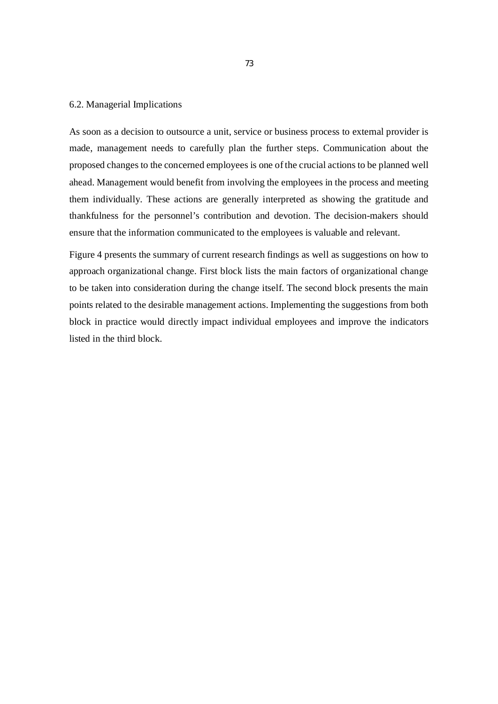#### 6.2. Managerial Implications

As soon as a decision to outsource a unit, service or business process to external provider is made, management needs to carefully plan the further steps. Communication about the proposed changes to the concerned employees is one of the crucial actions to be planned well ahead. Management would benefit from involving the employees in the process and meeting them individually. These actions are generally interpreted as showing the gratitude and thankfulness for the personnel's contribution and devotion. The decision-makers should ensure that the information communicated to the employees is valuable and relevant.

Figure 4 presents the summary of current research findings as well as suggestions on how to approach organizational change. First block lists the main factors of organizational change to be taken into consideration during the change itself. The second block presents the main points related to the desirable management actions. Implementing the suggestions from both block in practice would directly impact individual employees and improve the indicators listed in the third block.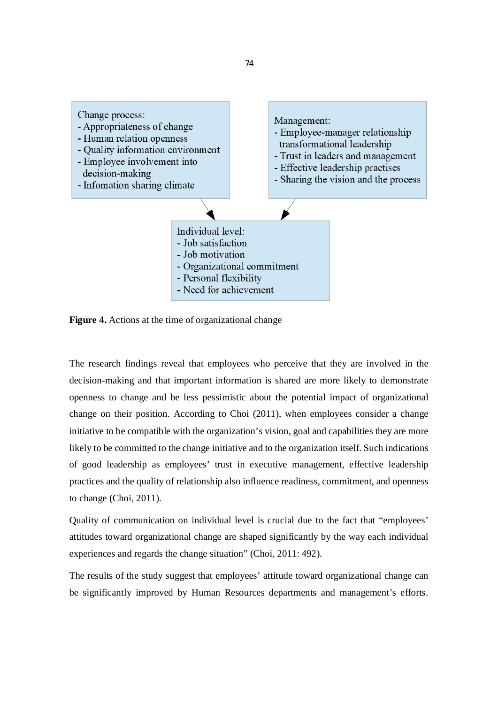

**Figure 4.** Actions at the time of organizational change

The research findings reveal that employees who perceive that they are involved in the decision-making and that important information is shared are more likely to demonstrate openness to change and be less pessimistic about the potential impact of organizational change on their position. According to Choi (2011), when employees consider a change initiative to be compatible with the organization's vision, goal and capabilities they are more likely to be committed to the change initiative and to the organization itself. Such indications of good leadership as employees' trust in executive management, effective leadership practices and the quality of relationship also influence readiness, commitment, and openness to change (Choi, 2011).

Quality of communication on individual level is crucial due to the fact that "employees' attitudes toward organizational change are shaped significantly by the way each individual experiences and regards the change situation" (Choi, 2011: 492).

The results of the study suggest that employees' attitude toward organizational change can be significantly improved by Human Resources departments and management's efforts.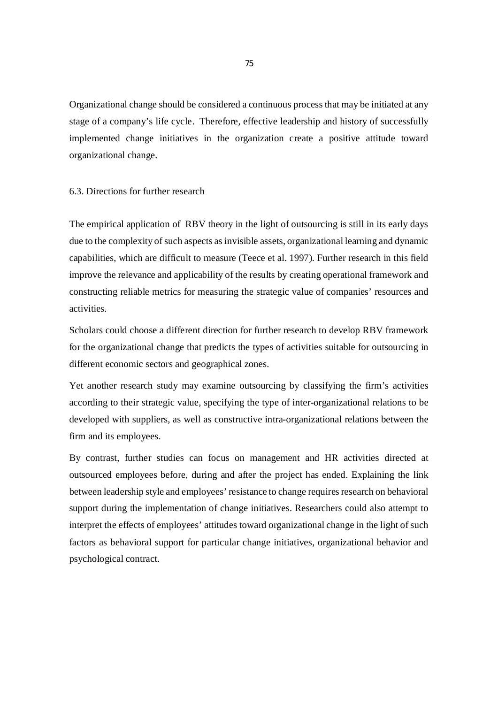Organizational change should be considered a continuous process that may be initiated at any stage of a company's life cycle. Therefore, effective leadership and history of successfully implemented change initiatives in the organization create a positive attitude toward organizational change.

#### 6.3. Directions for further research

The empirical application of RBV theory in the light of outsourcing is still in its early days due to the complexity of such aspects as invisible assets, organizational learning and dynamic capabilities, which are difficult to measure (Teece et al. 1997). Further research in this field improve the relevance and applicability of the results by creating operational framework and constructing reliable metrics for measuring the strategic value of companies' resources and activities.

Scholars could choose a different direction for further research to develop RBV framework for the organizational change that predicts the types of activities suitable for outsourcing in different economic sectors and geographical zones.

Yet another research study may examine outsourcing by classifying the firm's activities according to their strategic value, specifying the type of inter-organizational relations to be developed with suppliers, as well as constructive intra-organizational relations between the firm and its employees.

By contrast, further studies can focus on management and HR activities directed at outsourced employees before, during and after the project has ended. Explaining the link between leadership style and employees' resistance to change requires research on behavioral support during the implementation of change initiatives. Researchers could also attempt to interpret the effects of employees' attitudes toward organizational change in the light of such factors as behavioral support for particular change initiatives, organizational behavior and psychological contract.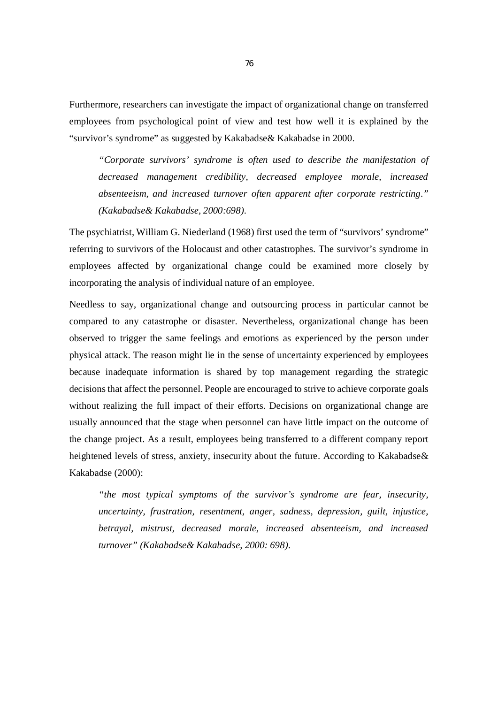Furthermore, researchers can investigate the impact of organizational change on transferred employees from psychological point of view and test how well it is explained by the "survivor's syndrome" as suggested by Kakabadse& Kakabadse in 2000.

*"Corporate survivors' syndrome is often used to describe the manifestation of decreased management credibility, decreased employee morale, increased absenteeism, and increased turnover often apparent after corporate restricting." (Kakabadse& Kakabadse, 2000:698).*

The psychiatrist, William G. Niederland (1968) first used the term of "survivors' syndrome" referring to survivors of the Holocaust and other catastrophes. The survivor's syndrome in employees affected by organizational change could be examined more closely by incorporating the analysis of individual nature of an employee.

Needless to say, organizational change and outsourcing process in particular cannot be compared to any catastrophe or disaster. Nevertheless, organizational change has been observed to trigger the same feelings and emotions as experienced by the person under physical attack. The reason might lie in the sense of uncertainty experienced by employees because inadequate information is shared by top management regarding the strategic decisions that affect the personnel. People are encouraged to strive to achieve corporate goals without realizing the full impact of their efforts. Decisions on organizational change are usually announced that the stage when personnel can have little impact on the outcome of the change project. As a result, employees being transferred to a different company report heightened levels of stress, anxiety, insecurity about the future. According to Kakabadse& Kakabadse (2000):

*"the most typical symptoms of the survivor's syndrome are fear, insecurity, uncertainty, frustration, resentment, anger, sadness, depression, guilt, injustice, betrayal, mistrust, decreased morale, increased absenteeism, and increased turnover" (Kakabadse& Kakabadse, 2000: 698).*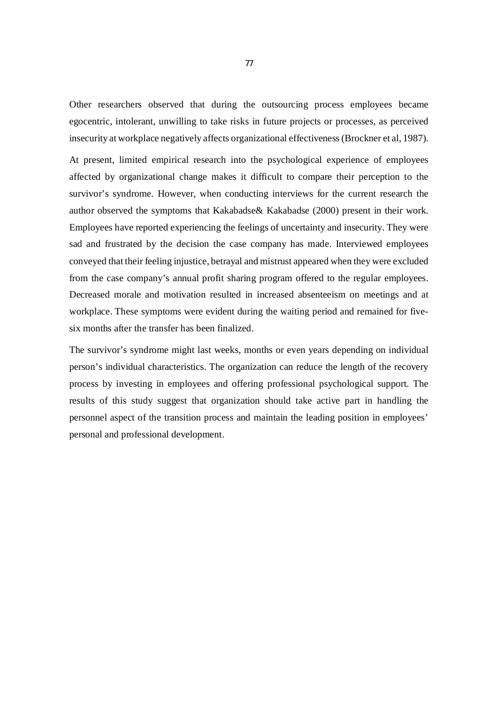Other researchers observed that during the outsourcing process employees became egocentric, intolerant, unwilling to take risks in future projects or processes, as perceived insecurity at workplace negatively affects organizational effectiveness (Brockner et al, 1987).

At present, limited empirical research into the psychological experience of employees affected by organizational change makes it difficult to compare their perception to the survivor's syndrome. However, when conducting interviews for the current research the author observed the symptoms that Kakabadse& Kakabadse (2000) present in their work. Employees have reported experiencing the feelings of uncertainty and insecurity. They were sad and frustrated by the decision the case company has made. Interviewed employees conveyed that their feeling injustice, betrayal and mistrust appeared when they were excluded from the case company's annual profit sharing program offered to the regular employees. Decreased morale and motivation resulted in increased absenteeism on meetings and at workplace. These symptoms were evident during the waiting period and remained for fivesix months after the transfer has been finalized.

The survivor's syndrome might last weeks, months or even years depending on individual person's individual characteristics. The organization can reduce the length of the recovery process by investing in employees and offering professional psychological support. The results of this study suggest that organization should take active part in handling the personnel aspect of the transition process and maintain the leading position in employees' personal and professional development.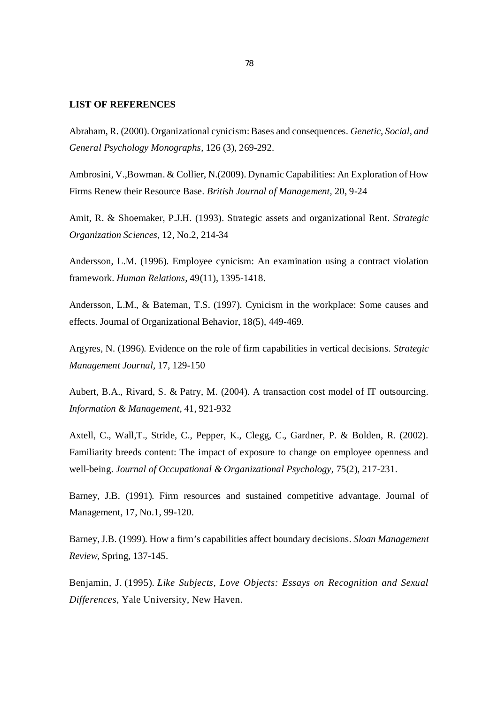#### **LIST OF REFERENCES**

Abraham, R. (2000). Organizational cynicism: Bases and consequences. *Genetic, Social, and General Psychology Monographs,* 126 (3), 269-292.

Ambrosini, V.,Bowman. & Collier, N.(2009). Dynamic Capabilities: An Exploration of How Firms Renew their Resource Base. *British Journal of Management,* 20, 9-24

Amit, R. & Shoemaker, P.J.H. (1993). Strategic assets and organizational Rent. *Strategic Organization Sciences,* 12, No.2, 214-34

Andersson, L.M. (1996). Employee cynicism: An examination using a contract violation framework. *Human Relations,* 49(11), 1395-1418.

Andersson, L.M., & Bateman, T.S. (1997). Cynicism in the workplace: Some causes and effects. Journal of Organizational Behavior, 18(5), 449-469.

Argyres, N. (1996). Evidence on the role of firm capabilities in vertical decisions. *Strategic Management Journal,* 17, 129-150

Aubert, B.A., Rivard, S. & Patry, M. (2004). A transaction cost model of IT outsourcing. *Information & Management,* 41, 921-932

Axtell, C., Wall,T., Stride, C., Pepper, K., Clegg, C., Gardner, P. & Bolden, R. (2002). Familiarity breeds content: The impact of exposure to change on employee openness and well-being. *Journal of Occupational & Organizational Psychology,* 75(2), 217-231.

Barney, J.B. (1991). Firm resources and sustained competitive advantage. Journal of Management, 17, No.1, 99-120.

Barney, J.B. (1999). How a firm's capabilities affect boundary decisions. *Sloan Management Review,* Spring, 137-145.

Benjamin, J. (1995). *Like Subjects, Love Objects: Essays on Recognition and Sexual Differences*, Yale University, New Haven.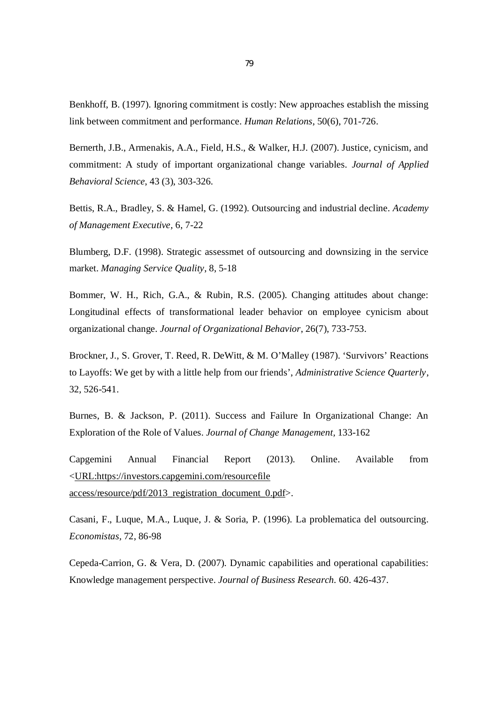Benkhoff, B. (1997). Ignoring commitment is costly: New approaches establish the missing link between commitment and performance. *Human Relations*, 50(6), 701-726.

Bernerth, J.B., Armenakis, A.A., Field, H.S., & Walker, H.J. (2007). Justice, cynicism, and commitment: A study of important organizational change variables. *Journal of Applied Behavioral Science*, 43 (3), 303-326.

Bettis, R.A., Bradley, S. & Hamel, G. (1992). Outsourcing and industrial decline. *Academy of Management Executive,* 6, 7-22

Blumberg, D.F. (1998). Strategic assessmet of outsourcing and downsizing in the service market. *Managing Service Quality*, 8, 5-18

Bommer, W. H., Rich, G.A., & Rubin, R.S. (2005). Changing attitudes about change: Longitudinal effects of transformational leader behavior on employee cynicism about organizational change. *Journal of Organizational Behavior*, 26(7), 733-753.

Brockner, J., S. Grover, T. Reed, R. DeWitt, & M. O'Malley (1987). 'Survivors' Reactions to Layoffs: We get by with a little help from our friends', *Administrative Science Quarterly*, 32, 526-541.

Burnes, B. & Jackson, P. (2011). Success and Failure In Organizational Change: An Exploration of the Role of Values. *Journal of Change Management,* 133-162

Capgemini Annual Financial Report (2013). Online. Available from <URL:https://investors.capgemini.com/resourcefile access/resource/pdf/2013\_registration\_document\_0.pdf>.

Casani, F., Luque, M.A., Luque, J. & Soria, P. (1996). La problematica del outsourcing. *Economistas,* 72, 86-98

Cepeda-Carrion, G. & Vera, D. (2007). Dynamic capabilities and operational capabilities: Knowledge management perspective. *Journal of Business Research.* 60. 426-437.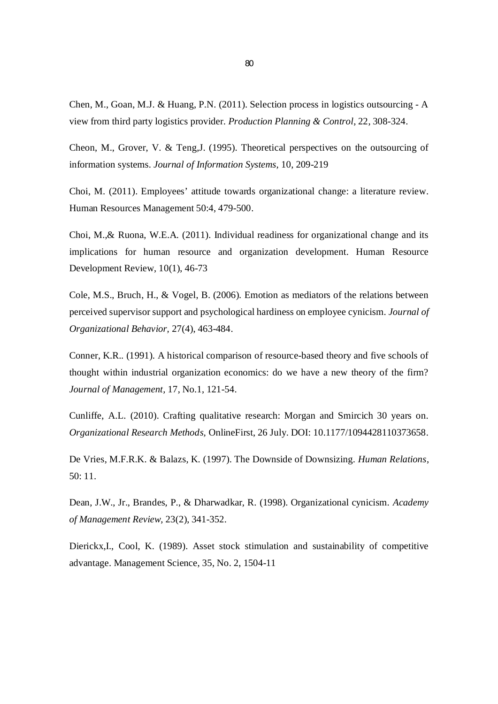Chen, M., Goan, M.J. & Huang, P.N. (2011). Selection process in logistics outsourcing - A view from third party logistics provider. *Production Planning & Control*, 22, 308-324.

Cheon, M., Grover, V. & Teng,J. (1995). Theoretical perspectives on the outsourcing of information systems. *Journal of Information Systems,* 10, 209-219

Choi, M. (2011). Employees' attitude towards organizational change: a literature review. Human Resources Management 50:4, 479-500.

Choi, M.,& Ruona, W.E.A. (2011). Individual readiness for organizational change and its implications for human resource and organization development. Human Resource Development Review, 10(1), 46-73

Cole, M.S., Bruch, H., & Vogel, B. (2006). Emotion as mediators of the relations between perceived supervisor support and psychological hardiness on employee cynicism. *Journal of Organizational Behavior,* 27(4), 463-484.

Conner, K.R.. (1991). A historical comparison of resource-based theory and five schools of thought within industrial organization economics: do we have a new theory of the firm? *Journal of Management,* 17, No.1, 121-54.

Cunliffe, A.L. (2010). Crafting qualitative research: Morgan and Smircich 30 years on. *Organizational Research Methods,* OnlineFirst, 26 July. DOI: 10.1177/1094428110373658.

De Vries, M.F.R.K. & Balazs, K. (1997). The Downside of Downsizing. *Human Relations*, 50: 11.

Dean, J.W., Jr., Brandes, P., & Dharwadkar, R. (1998). Organizational cynicism. *Academy of Management Review,* 23(2), 341-352.

Dierickx,I., Cool, K. (1989). Asset stock stimulation and sustainability of competitive advantage. Management Science, 35, No. 2, 1504-11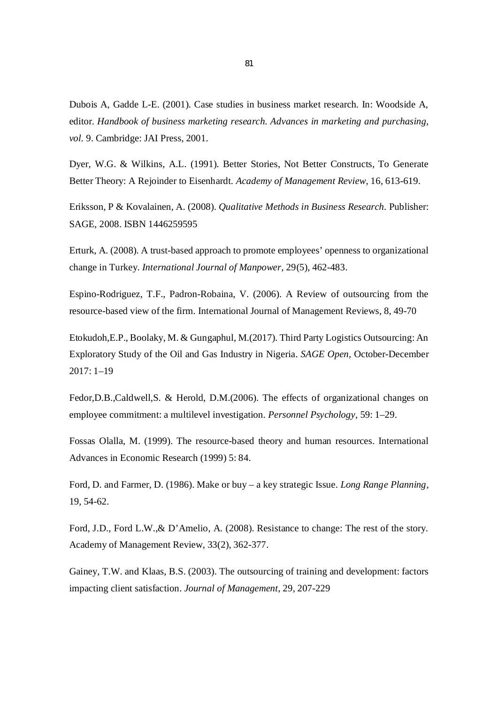Dubois A, Gadde L-E. (2001). Case studies in business market research. In: Woodside A, editor. *Handbook of business marketing research. Advances in marketing and purchasing, vol.* 9. Cambridge: JAI Press, 2001.

Dyer, W.G. & Wilkins, A.L. (1991). Better Stories, Not Better Constructs, To Generate Better Theory: A Rejoinder to Eisenhardt. *Academy of Management Review*, 16, 613-619.

Eriksson, P & Kovalainen, A. (2008). *Qualitative Methods in Business Research.* Publisher: SAGE, 2008. ISBN 1446259595

Erturk, A. (2008). A trust-based approach to promote employees' openness to organizational change in Turkey. *International Journal of Manpower,* 29(5), 462-483.

Espino-Rodriguez, T.F., Padron-Robaina, V. (2006). A Review of outsourcing from the resource-based view of the firm. International Journal of Management Reviews, 8, 49-70

Etokudoh,E.P., Boolaky, M. & Gungaphul, M.(2017). Third Party Logistics Outsourcing: An Exploratory Study of the Oil and Gas Industry in Nigeria. *SAGE Open,* October-December 2017: 1–19

Fedor,D.B.,Caldwell,S. & Herold, D.M.(2006). The effects of organizational changes on employee commitment: a multilevel investigation. *Personnel Psychology,* 59: 1–29.

Fossas Olalla, M. (1999). The resource-based theory and human resources. International Advances in Economic Research (1999) 5: 84.

Ford, D. and Farmer, D. (1986). Make or buy – a key strategic Issue. *Long Range Planning*, 19, 54-62.

Ford, J.D., Ford L.W.,& D'Amelio, A. (2008). Resistance to change: The rest of the story. Academy of Management Review, 33(2), 362-377.

Gainey, T.W. and Klaas, B.S. (2003). The outsourcing of training and development: factors impacting client satisfaction. *Journal of Management,* 29, 207-229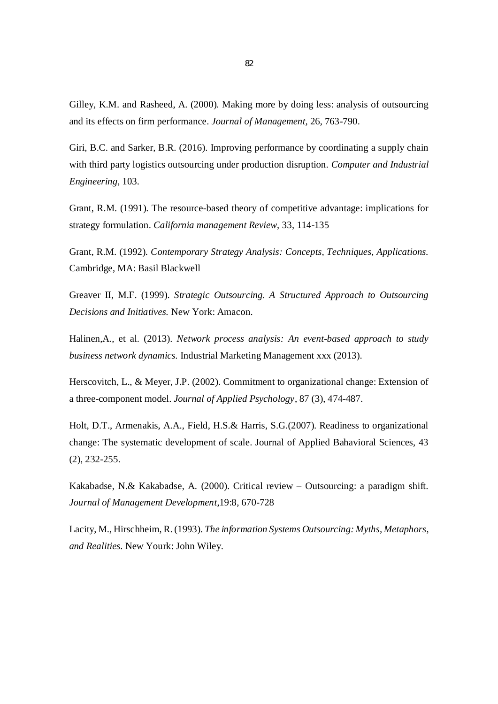Gilley, K.M. and Rasheed, A. (2000). Making more by doing less: analysis of outsourcing and its effects on firm performance. *Journal of Management,* 26, 763-790.

Giri, B.C. and Sarker, B.R. (2016). Improving performance by coordinating a supply chain with third party logistics outsourcing under production disruption. *Computer and Industrial Engineering,* 103.

Grant, R.M. (1991). The resource-based theory of competitive advantage: implications for strategy formulation. *California management Review*, 33, 114-135

Grant, R.M. (1992). *Contemporary Strategy Analysis: Concepts, Techniques, Applications.* Cambridge, MA: Basil Blackwell

Greaver II, M.F. (1999). *Strategic Outsourcing. A Structured Approach to Outsourcing Decisions and Initiatives.* New York: Amacon.

Halinen,A., et al. (2013). *Network process analysis: An event-based approach to study business network dynamics.* Industrial Marketing Management xxx (2013).

Herscovitch, L., & Meyer, J.P. (2002). Commitment to organizational change: Extension of a three-component model. *Journal of Applied Psychology*, 87 (3), 474-487.

Holt, D.T., Armenakis, A.A., Field, H.S.& Harris, S.G.(2007). Readiness to organizational change: The systematic development of scale. Journal of Applied Bahavioral Sciences, 43 (2), 232-255.

Kakabadse, N.& Kakabadse, A. (2000). Critical review – Outsourcing: a paradigm shift. *Journal of Management Development*,19:8, 670-728

Lacity, M., Hirschheim, R. (1993). *The information Systems Outsourcing: Myths, Metaphors, and Realities.* New Yourk: John Wiley.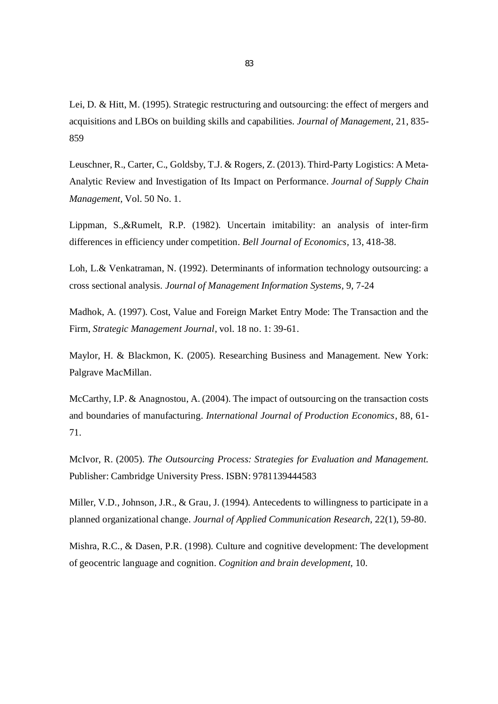Lei, D. & Hitt, M. (1995). Strategic restructuring and outsourcing: the effect of mergers and acquisitions and LBOs on building skills and capabilities. *Journal of Management,* 21, 835- 859

Leuschner, R., Carter, C., Goldsby, T.J. & Rogers, Z. (2013). Third-Party Logistics: A Meta-Analytic Review and Investigation of Its Impact on Performance. *Journal of Supply Chain Management,* Vol. 50 No. 1.

Lippman, S.,&Rumelt, R.P. (1982). Uncertain imitability: an analysis of inter-firm differences in efficiency under competition. *Bell Journal of Economics,* 13, 418-38.

Loh, L.& Venkatraman, N. (1992). Determinants of information technology outsourcing: a cross sectional analysis*. Journal of Management Information Systems,* 9, 7-24

Madhok, A. (1997). Cost, Value and Foreign Market Entry Mode: The Transaction and the Firm, *Strategic Management Journal*, vol. 18 no. 1: 39-61.

Maylor, H. & Blackmon, K. (2005). Researching Business and Management. New York: Palgrave MacMillan.

McCarthy, I.P. & Anagnostou, A. (2004). The impact of outsourcing on the transaction costs and boundaries of manufacturing. *International Journal of Production Economics*, 88, 61- 71.

McIvor, R. (2005). *The Outsourcing Process: Strategies for Evaluation and Management.* Publisher: Cambridge University Press. ISBN: 9781139444583

Miller, V.D., Johnson, J.R., & Grau, J. (1994). Antecedents to willingness to participate in a planned organizational change. *Journal of Applied Communication Research,* 22(1), 59-80.

Mishra, R.C., & Dasen, P.R. (1998). Culture and cognitive development: The development of geocentric language and cognition. *Cognition and brain development,* 10.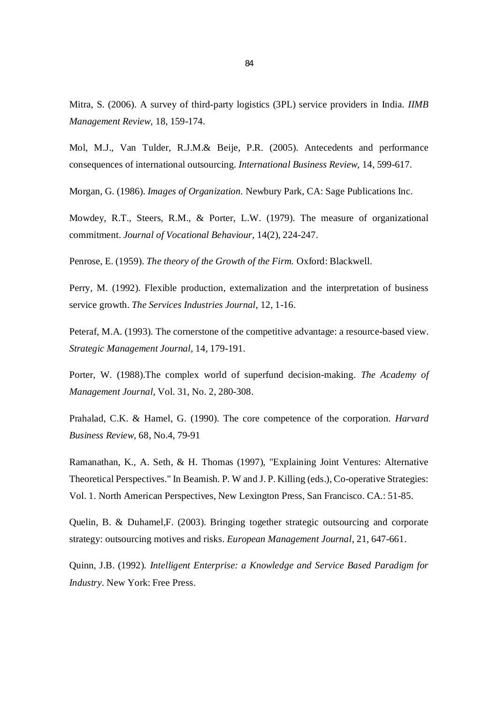Mitra, S. (2006). A survey of third-party logistics (3PL) service providers in India. *IIMB Management Review,* 18, 159-174.

Mol, M.J., Van Tulder, R.J.M.& Beije, P.R. (2005). Antecedents and performance consequences of international outsourcing. *International Business Review,* 14, 599-617.

Morgan, G. (1986). *Images of Organization.* Newbury Park, CA: Sage Publications Inc.

Mowdey, R.T., Steers, R.M., & Porter, L.W. (1979). The measure of organizational commitment. *Journal of Vocational Behaviour,* 14(2), 224-247.

Penrose, E. (1959). *The theory of the Growth of the Firm.* Oxford: Blackwell.

Perry, M. (1992). Flexible production, externalization and the interpretation of business service growth. *The Services Industries Journal,* 12, 1-16.

Peteraf, M.A. (1993). The cornerstone of the competitive advantage: a resource-based view. *Strategic Management Journal,* 14, 179-191.

Porter, W. (1988).The complex world of superfund decision-making. *The Academy of Management Journal,* Vol. 31, No. 2, 280-308.

Prahalad, C.K. & Hamel, G. (1990). The core competence of the corporation. *Harvard Business Review*, 68, No.4, 79-91

Ramanathan, K., A. Seth, & H. Thomas (1997), "Explaining Joint Ventures: Alternative Theoretical Perspectives." In Beamish. P. W and J. P. Killing (eds.), Co-operative Strategies: Vol. 1. North American Perspectives, New Lexington Press, San Francisco. CA.: 51-85.

Quelin, B. & Duhamel,F. (2003). Bringing together strategic outsourcing and corporate strategy: outsourcing motives and risks. *European Management Journal*, 21, 647-661.

Quinn, J.B. (1992). *Intelligent Enterprise: a Knowledge and Service Based Paradigm for Industry.* New York: Free Press.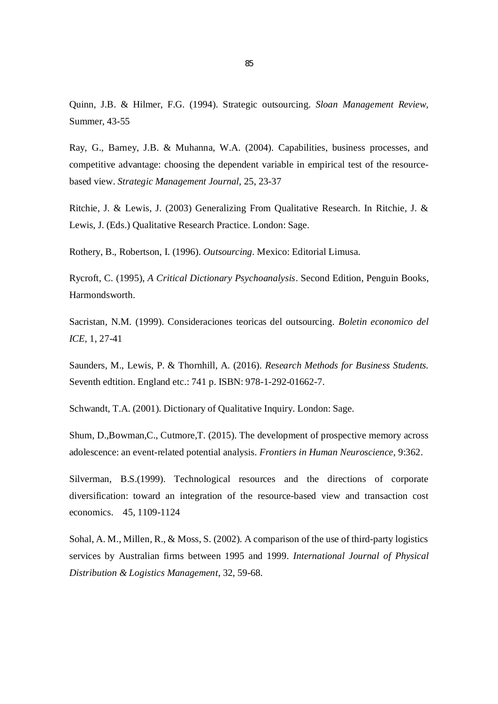Quinn, J.B. & Hilmer, F.G. (1994). Strategic outsourcing. *Sloan Management Review,* Summer, 43-55

Ray, G., Barney, J.B. & Muhanna, W.A. (2004). Capabilities, business processes, and competitive advantage: choosing the dependent variable in empirical test of the resourcebased view. *Strategic Management Journal,* 25, 23-37

Ritchie, J. & Lewis, J. (2003) Generalizing From Qualitative Research. In Ritchie, J. & Lewis, J. (Eds.) Qualitative Research Practice. London: Sage.

Rothery, B., Robertson, I. (1996). *Outsourcing.* Mexico: Editorial Limusa.

Rycroft, C. (1995), *A Critical Dictionary Psychoanalysis*. Second Edition, Penguin Books, Harmondsworth.

Sacristan, N.M. (1999). Consideraciones teoricas del outsourcing. *Boletin economico del ICE,* 1, 27-41

Saunders, M., Lewis, P. & Thornhill, A. (2016). *Research Methods for Business Students.* Seventh edtition. England etc.: 741 p. ISBN: 978-1-292-01662-7.

Schwandt, T.A. (2001). Dictionary of Qualitative Inquiry. London: Sage.

Shum, D.,Bowman,C., Cutmore,T. (2015). The development of prospective memory across adolescence: an event-related potential analysis. *Frontiers in Human Neuroscience,* 9:362.

Silverman, B.S.(1999). Technological resources and the directions of corporate diversification: toward an integration of the resource-based view and transaction cost economics. 45, 1109-1124

Sohal, A. M., Millen, R., & Moss, S. (2002). A comparison of the use of third-party logistics services by Australian firms between 1995 and 1999. *International Journal of Physical Distribution & Logistics Management*, 32, 59-68.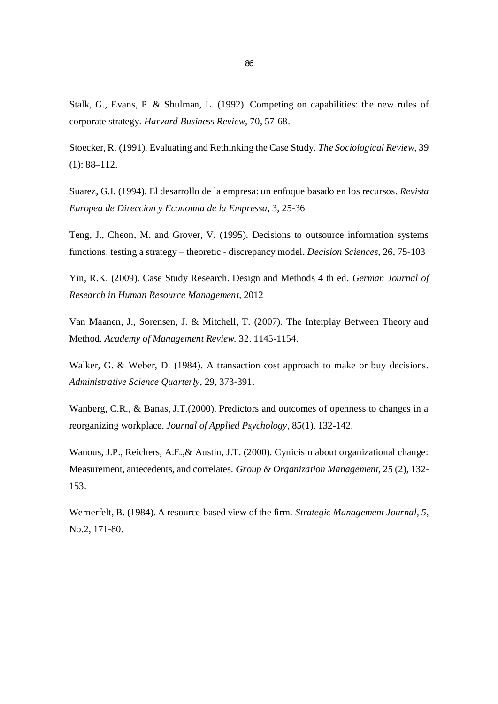Stalk, G., Evans, P. & Shulman, L. (1992). Competing on capabilities: the new rules of corporate strategy. *Harvard Business Review,* 70, 57-68.

Stoecker, R. (1991). Evaluating and Rethinking the Case Study. *The Sociological Review,* 39 (1): 88–112.

Suarez, G.I. (1994). El desarrollo de la empresa: un enfoque basado en los recursos. *Revista Europea de Direccion y Economia de la Empressa,* 3, 25-36

Teng, J., Cheon, M. and Grover, V. (1995). Decisions to outsource information systems functions: testing a strategy – theoretic - discrepancy model. *Decision Sciences,* 26, 75-103

Yin, R.K. (2009). Case Study Research. Design and Methods 4 th ed. *German Journal of Research in Human Resource Management*, 2012

Van Maanen, J., Sorensen, J. & Mitchell, T. (2007). The Interplay Between Theory and Method. *Academy of Management Review.* 32. 1145-1154.

Walker, G. & Weber, D. (1984). A transaction cost approach to make or buy decisions. *Administrative Science Quarterly,* 29, 373-391.

Wanberg, C.R., & Banas, J.T.(2000). Predictors and outcomes of openness to changes in a reorganizing workplace. *Journal of Applied Psychology*, 85(1), 132-142.

Wanous, J.P., Reichers, A.E.,& Austin, J.T. (2000). Cynicism about organizational change: Measurement, antecedents, and correlates. *Group & Organization Management,* 25 (2), 132- 153.

Wernerfelt, B. (1984). A resource-based view of the firm. *Strategic Management Journal, 5*, No.2, 171-80.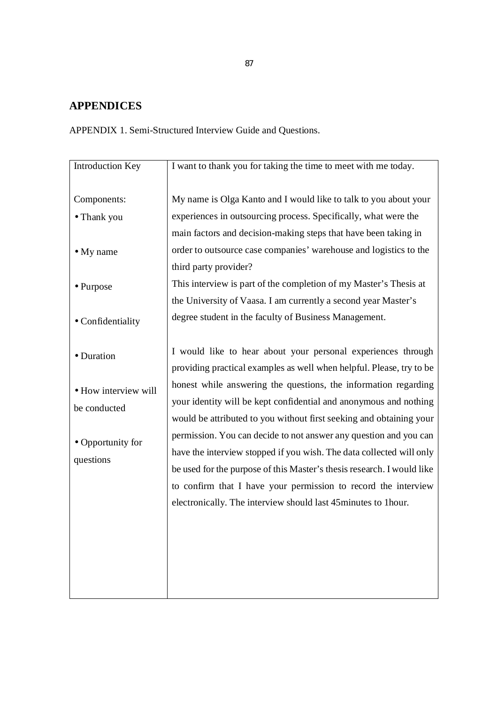## **APPENDICES**

APPENDIX 1. Semi-Structured Interview Guide and Questions.

| <b>Introduction Key</b>                 | I want to thank you for taking the time to meet with me today.                                                                                                                                                                                                                                                                                         |
|-----------------------------------------|--------------------------------------------------------------------------------------------------------------------------------------------------------------------------------------------------------------------------------------------------------------------------------------------------------------------------------------------------------|
| Components:<br>· Thank you<br>• My name | My name is Olga Kanto and I would like to talk to you about your<br>experiences in outsourcing process. Specifically, what were the<br>main factors and decision-making steps that have been taking in<br>order to outsource case companies' warehouse and logistics to the                                                                            |
| • Purpose                               | third party provider?<br>This interview is part of the completion of my Master's Thesis at<br>the University of Vaasa. I am currently a second year Master's                                                                                                                                                                                           |
| · Confidentiality                       | degree student in the faculty of Business Management.                                                                                                                                                                                                                                                                                                  |
| · Duration                              | I would like to hear about your personal experiences through<br>providing practical examples as well when helpful. Please, try to be                                                                                                                                                                                                                   |
| · How interview will<br>be conducted    | honest while answering the questions, the information regarding<br>your identity will be kept confidential and anonymous and nothing<br>would be attributed to you without first seeking and obtaining your                                                                                                                                            |
| • Opportunity for<br>questions          | permission. You can decide to not answer any question and you can<br>have the interview stopped if you wish. The data collected will only<br>be used for the purpose of this Master's thesis research. I would like<br>to confirm that I have your permission to record the interview<br>electronically. The interview should last 45minutes to 1hour. |
|                                         |                                                                                                                                                                                                                                                                                                                                                        |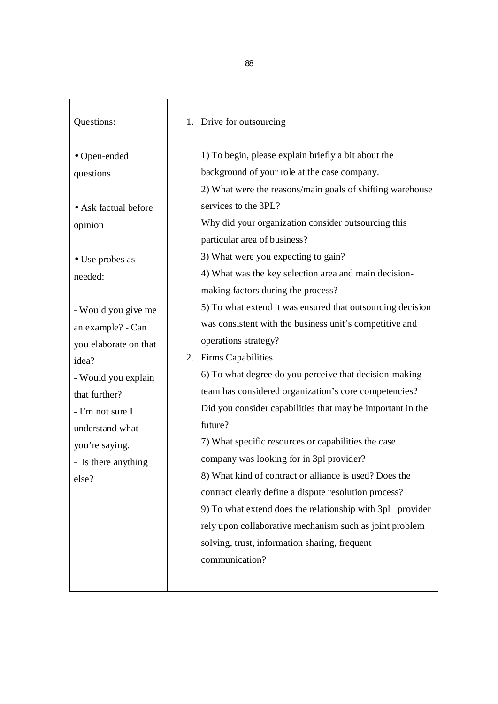| Questions:                                                                                                                                                                                                                                                                                                | 1. Drive for outsourcing                                                                                                                                                                                                                                                                                                                                                                                                                                                                                                                                                                                                                                                                                                                                                                                                                                                                                                                                                                                                                                                                                                                  |
|-----------------------------------------------------------------------------------------------------------------------------------------------------------------------------------------------------------------------------------------------------------------------------------------------------------|-------------------------------------------------------------------------------------------------------------------------------------------------------------------------------------------------------------------------------------------------------------------------------------------------------------------------------------------------------------------------------------------------------------------------------------------------------------------------------------------------------------------------------------------------------------------------------------------------------------------------------------------------------------------------------------------------------------------------------------------------------------------------------------------------------------------------------------------------------------------------------------------------------------------------------------------------------------------------------------------------------------------------------------------------------------------------------------------------------------------------------------------|
| · Open-ended<br>questions<br>· Ask factual before<br>opinion<br>• Use probes as<br>needed:<br>- Would you give me<br>an example? - Can<br>you elaborate on that<br>idea?<br>- Would you explain<br>that further?<br>- I'm not sure I<br>understand what<br>you're saying.<br>- Is there anything<br>else? | 1) To begin, please explain briefly a bit about the<br>background of your role at the case company.<br>2) What were the reasons/main goals of shifting warehouse<br>services to the 3PL?<br>Why did your organization consider outsourcing this<br>particular area of business?<br>3) What were you expecting to gain?<br>4) What was the key selection area and main decision-<br>making factors during the process?<br>5) To what extend it was ensured that outsourcing decision<br>was consistent with the business unit's competitive and<br>operations strategy?<br>2. Firms Capabilities<br>6) To what degree do you perceive that decision-making<br>team has considered organization's core competencies?<br>Did you consider capabilities that may be important in the<br>future?<br>7) What specific resources or capabilities the case<br>company was looking for in 3pl provider?<br>8) What kind of contract or alliance is used? Does the<br>contract clearly define a dispute resolution process?<br>9) To what extend does the relationship with 3pl provider<br>rely upon collaborative mechanism such as joint problem |
|                                                                                                                                                                                                                                                                                                           | solving, trust, information sharing, frequent<br>communication?                                                                                                                                                                                                                                                                                                                                                                                                                                                                                                                                                                                                                                                                                                                                                                                                                                                                                                                                                                                                                                                                           |

88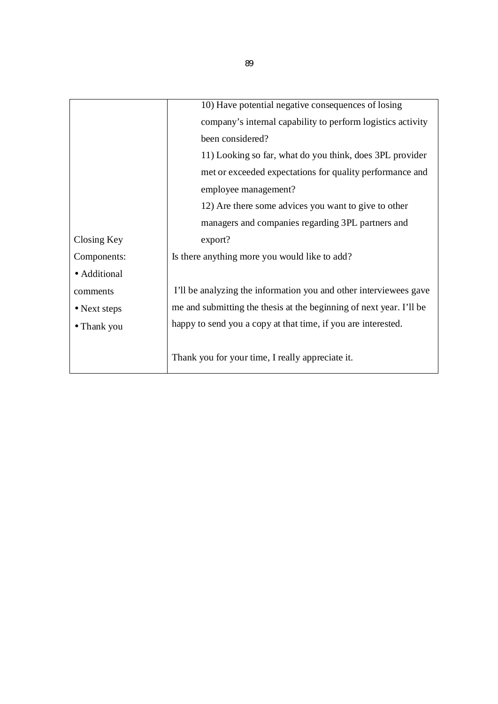|              | 10) Have potential negative consequences of losing                  |
|--------------|---------------------------------------------------------------------|
|              | company's internal capability to perform logistics activity         |
|              | been considered?                                                    |
|              | 11) Looking so far, what do you think, does 3PL provider            |
|              | met or exceeded expectations for quality performance and            |
|              | employee management?                                                |
|              | 12) Are there some advices you want to give to other                |
|              | managers and companies regarding 3PL partners and                   |
| Closing Key  | export?                                                             |
| Components:  | Is there anything more you would like to add?                       |
| · Additional |                                                                     |
| comments     | I'll be analyzing the information you and other interviewees gave   |
| • Next steps | me and submitting the thesis at the beginning of next year. I'll be |
| • Thank you  | happy to send you a copy at that time, if you are interested.       |
|              |                                                                     |
|              | Thank you for your time, I really appreciate it.                    |
|              |                                                                     |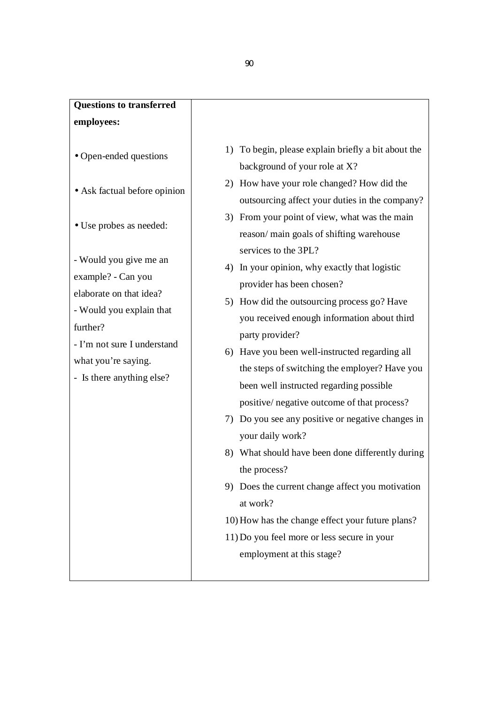# **Questions to transferred employees:**

- Open-ended questions
- Ask factual before opinion
- Use probes as needed:

- Would you give me an example? - Can you

elaborate on that idea?

- Would you explain that further?

- I'm not sure I understand what you're saying.

- Is there anything else?

- 1) To begin, please explain briefly a bit about the background of your role at X?
- 2) How have your role changed? How did the outsourcing affect your duties in the company?
- 3) From your point of view, what was the main reason/ main goals of shifting warehouse services to the 3PL?
- 4) In your opinion, why exactly that logistic provider has been chosen?
- 5) How did the outsourcing process go? Have you received enough information about third party provider?
- 6) Have you been well-instructed regarding all the steps of switching the employer? Have you been well instructed regarding possible positive/ negative outcome of that process?
- 7) Do you see any positive or negative changes in your daily work?
- 8) What should have been done differently during the process?
- 9) Does the current change affect you motivation at work?
- 10)How has the change effect your future plans?
- 11)Do you feel more or less secure in your employment at this stage?